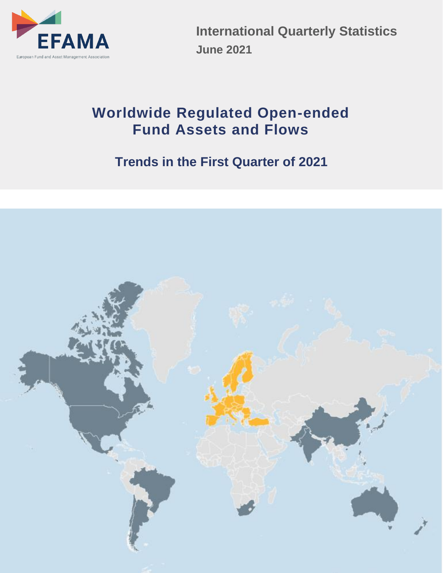

**International Quarterly Statistics June 2021**

# **Worldwide Regulated Open-ended Fund Assets and Flows**

# **Trends in the First Quarter of 2021**

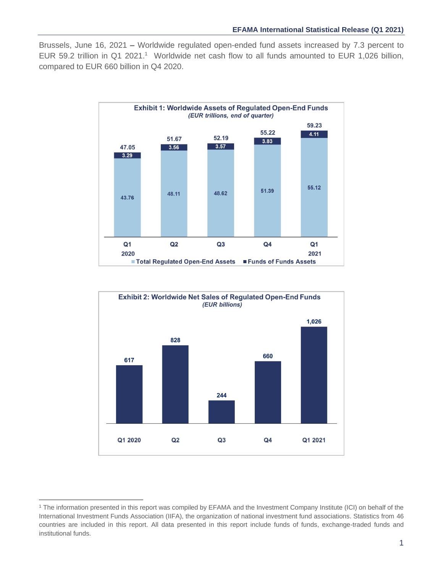Brussels, June 16, 2021 **–** Worldwide regulated open-ended fund assets increased by 7.3 percent to EUR 59.2 trillion in Q1 2021. <sup>1</sup> Worldwide net cash flow to all funds amounted to EUR 1,026 billion, compared to EUR 660 billion in Q4 2020.





<sup>1</sup> The information presented in this report was compiled by EFAMA and the Investment Company Institute (ICI) on behalf of the International Investment Funds Association (IIFA), the organization of national investment fund associations. Statistics from 46 countries are included in this report. All data presented in this report include funds of funds, exchange-traded funds and institutional funds.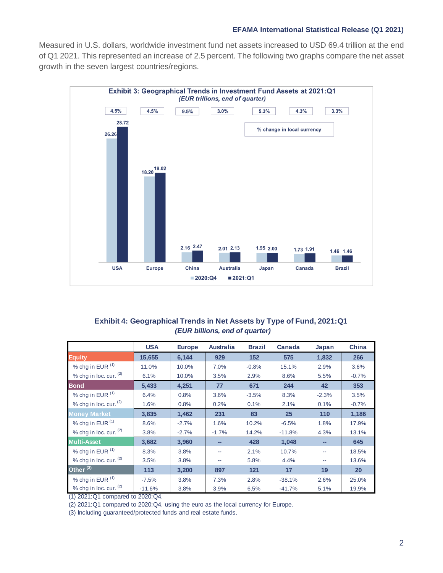Measured in U.S. dollars, worldwide investment fund net assets increased to USD 69.4 trillion at the end of Q1 2021. This represented an increase of 2.5 percent. The following two graphs compare the net asset growth in the seven largest countries/regions.



## **Exhibit 4: Geographical Trends in Net Assets by Type of Fund, 2021:Q1**  *(EUR billions, end of quarter)*

|                               | <b>USA</b> | <b>Europe</b> | <b>Australia</b> | <b>Brazil</b> | Canada   | Japan   | <b>China</b> |
|-------------------------------|------------|---------------|------------------|---------------|----------|---------|--------------|
| <b>Equity</b>                 | 15,655     | 6.144         | 929              | 152           | 575      | 1,832   | 266          |
| % chg in EUR (1)              | 11.0%      | 10.0%         | 7.0%             | $-0.8%$       | 15.1%    | 2.9%    | 3.6%         |
| % chg in loc. cur. (2)        | 6.1%       | 10.0%         | 3.5%             | 2.9%          | 8.6%     | 5.5%    | $-0.7%$      |
| <b>Bond</b>                   | 5.433      | 4,251         | 77               | 671           | 244      | 42      | 353          |
| % chg in EUR (1)              | 6.4%       | 0.8%          | 3.6%             | $-3.5%$       | 8.3%     | $-2.3%$ | 3.5%         |
| % chg in loc. cur. $(2)$      | 1.6%       | 0.8%          | 0.2%             | 0.1%          | 2.1%     | 0.1%    | $-0.7%$      |
| <b>Money Market</b>           | 3,835      | 1,462         | 231              | 83            | 25       | 110     | 1,186        |
| % chg in $EUR$ <sup>(1)</sup> | 8.6%       | $-2.7%$       | 1.6%             | 10.2%         | $-6.5%$  | 1.8%    | 17.9%        |
| % chg in loc. cur. (2)        | 3.8%       | $-2.7%$       | $-1.7%$          | 14.2%         | $-11.8%$ | 4.3%    | 13.1%        |
| <b>Multi-Asset</b>            | 3,682      | 3,960         |                  | 428           | 1,048    |         | 645          |
| % chg in EUR (1)              | 8.3%       | 3.8%          |                  | 2.1%          | 10.7%    | --      | 18.5%        |
| % chg in loc. cur. (2)        | 3.5%       | 3.8%          | --               | 5.8%          | 4.4%     | --      | 13.6%        |
| Other $^{(3)}$                | 113        | 3,200         | 897              | 121           | 17       | 19      | 20           |
| % chg in EUR (1)              | $-7.5%$    | 3.8%          | 7.3%             | 2.8%          | $-38.1%$ | 2.6%    | 25.0%        |
| % chg in loc. cur. (2)        | $-11.6%$   | 3.8%          | 3.9%             | 6.5%          | $-41.7%$ | 5.1%    | 19.9%        |

(1) 2021:Q1 compared to 2020:Q4.

(2) 2021:Q1 compared to 2020:Q4, using the euro as the local currency for Europe.

(3) Including guaranteed/protected funds and real estate funds.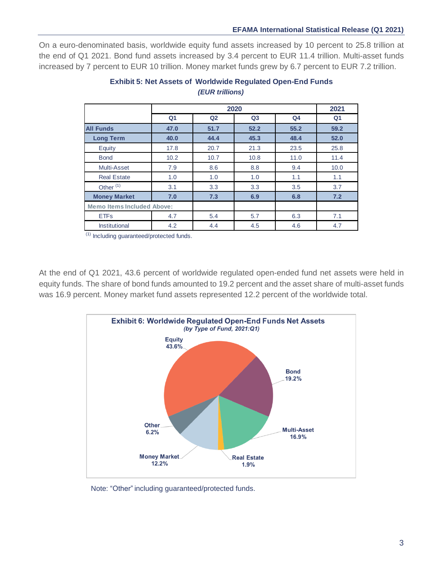On a euro-denominated basis, worldwide equity fund assets increased by 10 percent to 25.8 trillion at the end of Q1 2021. Bond fund assets increased by 3.4 percent to EUR 11.4 trillion. Multi-asset funds increased by 7 percent to EUR 10 trillion. Money market funds grew by 6.7 percent to EUR 7.2 trillion.

|                                   |                |                | 2020           |                | 2021           |
|-----------------------------------|----------------|----------------|----------------|----------------|----------------|
|                                   | Q <sub>1</sub> | Q <sub>2</sub> | Q <sub>3</sub> | Q <sub>4</sub> | Q <sub>1</sub> |
| <b>All Funds</b>                  | 47.0           | 51.7           | 52.2           | 55.2           | 59.2           |
| <b>Long Term</b>                  | 40.0           | 44.4           | 45.3           | 48.4           | 52.0           |
| Equity                            | 17.8           | 20.7           | 21.3           | 23.5           | 25.8           |
| <b>Bond</b>                       | 10.2           | 10.7           | 10.8           | 11.0           | 11.4           |
| Multi-Asset                       | 7.9            | 8.6            | 8.8            | 9.4            | 10.0           |
| <b>Real Estate</b>                | 1.0            | 1.0            | 1.0            | 1.1            | 1.1            |
| Other $(1)$                       | 3.1            | 3.3            | 3.3            | 3.5            | 3.7            |
| <b>Money Market</b>               | 7.0            | 7.3            | 6.9            | 6.8            | 7.2            |
| <b>Memo Items Included Above:</b> |                |                |                |                |                |
| <b>ETFs</b>                       | 4.7            | 5.4            | 5.7            | 6.3            | 7.1            |
| <b>Institutional</b>              | 4.2            | 4.4            | 4.5            | 4.6            | 4.7            |

# **Exhibit 5: Net Assets of Worldwide Regulated Open-End Funds** *(EUR trillions)*

(1) Including guaranteed/protected funds.

At the end of Q1 2021, 43.6 percent of worldwide regulated open-ended fund net assets were held in equity funds. The share of bond funds amounted to 19.2 percent and the asset share of multi-asset funds was 16.9 percent. Money market fund assets represented 12.2 percent of the worldwide total.



Note: "Other" including guaranteed/protected funds.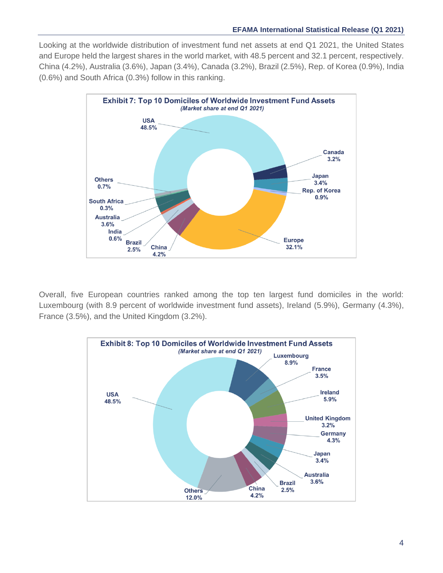Looking at the worldwide distribution of investment fund net assets at end Q1 2021, the United States and Europe held the largest shares in the world market, with 48.5 percent and 32.1 percent, respectively. China (4.2%), Australia (3.6%), Japan (3.4%), Canada (3.2%), Brazil (2.5%), Rep. of Korea (0.9%), India (0.6%) and South Africa (0.3%) follow in this ranking.



Overall, five European countries ranked among the top ten largest fund domiciles in the world: Luxembourg (with 8.9 percent of worldwide investment fund assets), Ireland (5.9%), Germany (4.3%), France (3.5%), and the United Kingdom (3.2%).

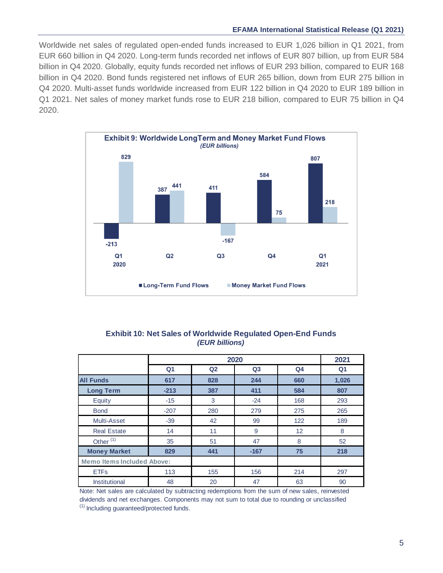### **EFAMA International Statistical Release (Q1 2021)**

Worldwide net sales of regulated open-ended funds increased to EUR 1,026 billion in Q1 2021, from EUR 660 billion in Q4 2020. Long-term funds recorded net inflows of EUR 807 billion, up from EUR 584 billion in Q4 2020. Globally, equity funds recorded net inflows of EUR 293 billion, compared to EUR 168 billion in Q4 2020. Bond funds registered net inflows of EUR 265 billion, down from EUR 275 billion in Q4 2020. Multi-asset funds worldwide increased from EUR 122 billion in Q4 2020 to EUR 189 billion in Q1 2021. Net sales of money market funds rose to EUR 218 billion, compared to EUR 75 billion in Q4 2020.



## **Exhibit 10: Net Sales of Worldwide Regulated Open-End Funds** *(EUR billions)*

|                                   |                |                | 2020           |                | 2021           |
|-----------------------------------|----------------|----------------|----------------|----------------|----------------|
|                                   | Q <sub>1</sub> | Q <sub>2</sub> | Q <sub>3</sub> | Q <sub>4</sub> | Q <sub>1</sub> |
| <b>All Funds</b>                  | 617            | 828            | 244            | 660            | 1,026          |
| <b>Long Term</b>                  | $-213$         | 387            | 411            | 584            | 807            |
| Equity                            | $-15$          | 3              | $-24$          | 168            | 293            |
| <b>Bond</b>                       | $-207$         | 280            | 279            | 275            | 265            |
| Multi-Asset                       | $-39$          | 42             | 99             | 122            | 189            |
| <b>Real Estate</b>                | 14             | 11             | 9              | 12             | 8              |
| Other <sup>(1)</sup>              | 35             | 51             | 47             | 8              | 52             |
| <b>Money Market</b>               | 829            | 441            | $-167$         | 75             | 218            |
| <b>Memo Items Included Above:</b> |                |                |                |                |                |
| <b>ETFs</b>                       | 113            | 155            | 156            | 214            | 297            |
| Institutional                     | 48             | 20             | 47             | 63             | 90             |

(1) Including guaranteed/protected funds. Note: Net sales are calculated by subtracting redemptions from the sum of new sales, reinvested dividends and net exchanges. Components may not sum to total due to rounding or unclassified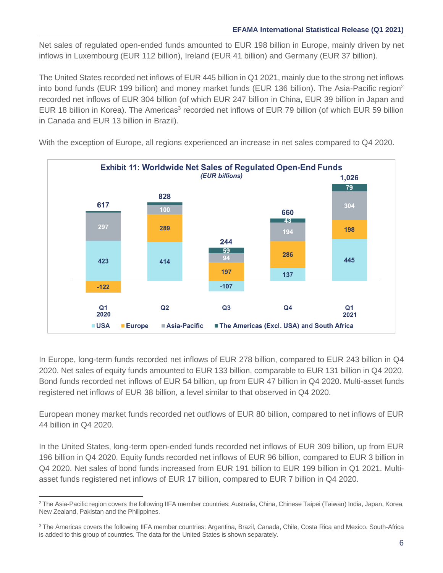Net sales of regulated open-ended funds amounted to EUR 198 billion in Europe, mainly driven by net inflows in Luxembourg (EUR 112 billion), Ireland (EUR 41 billion) and Germany (EUR 37 billion).

The United States recorded net inflows of EUR 445 billion in Q1 2021, mainly due to the strong net inflows into bond funds (EUR 199 billion) and money market funds (EUR 136 billion). The Asia-Pacific region<sup>2</sup> recorded net inflows of EUR 304 billion (of which EUR 247 billion in China, EUR 39 billion in Japan and EUR 18 billion in Korea). The Americas<sup>3</sup> recorded net inflows of EUR 79 billion (of which EUR 59 billion in Canada and EUR 13 billion in Brazil).



With the exception of Europe, all regions experienced an increase in net sales compared to Q4 2020.

In Europe, long-term funds recorded net inflows of EUR 278 billion, compared to EUR 243 billion in Q4 2020. Net sales of equity funds amounted to EUR 133 billion, comparable to EUR 131 billion in Q4 2020. Bond funds recorded net inflows of EUR 54 billion, up from EUR 47 billion in Q4 2020. Multi-asset funds registered net inflows of EUR 38 billion, a level similar to that observed in Q4 2020.

European money market funds recorded net outflows of EUR 80 billion, compared to net inflows of EUR 44 billion in Q4 2020.

In the United States, long-term open-ended funds recorded net inflows of EUR 309 billion, up from EUR 196 billion in Q4 2020. Equity funds recorded net inflows of EUR 96 billion, compared to EUR 3 billion in Q4 2020. Net sales of bond funds increased from EUR 191 billion to EUR 199 billion in Q1 2021. Multiasset funds registered net inflows of EUR 17 billion, compared to EUR 7 billion in Q4 2020.

<sup>&</sup>lt;sup>2</sup> The Asia-Pacific region covers the following IIFA member countries: Australia, China, Chinese Taipei (Taiwan) India, Japan, Korea, New Zealand, Pakistan and the Philippines.

<sup>3</sup> The Americas covers the following IIFA member countries: Argentina, Brazil, Canada, Chile, Costa Rica and Mexico. South-Africa is added to this group of countries. The data for the United States is shown separately.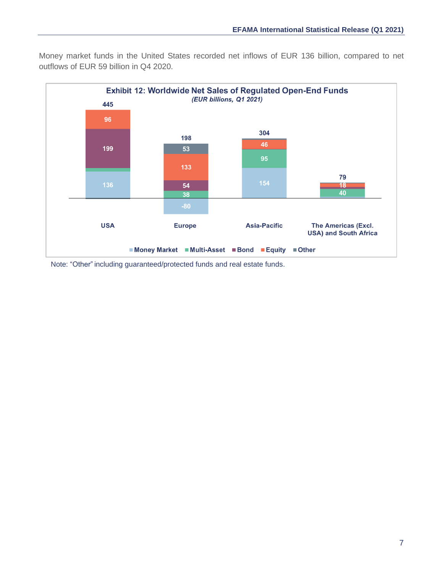Money market funds in the United States recorded net inflows of EUR 136 billion, compared to net outflows of EUR 59 billion in Q4 2020.



Note: "Other" including guaranteed/protected funds and real estate funds.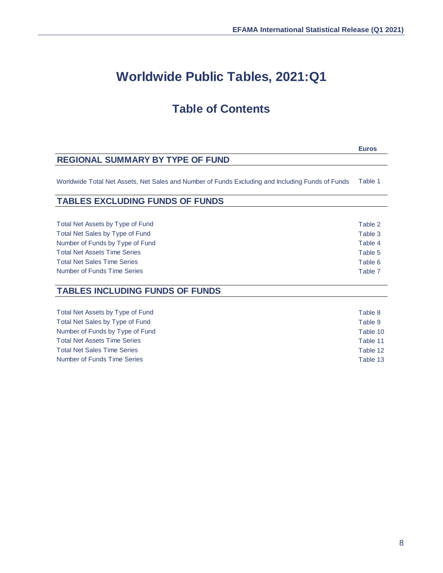**Euros**

# **Worldwide Public Tables, 2021:Q1**

# **Table of Contents**

# **REGIONAL SUMMARY BY TYPE OF FUND**

Worldwide Total Net Assets, Net Sales and Number of Funds Excluding and Including Funds of Funds Table 1

# **TABLES EXCLUDING FUNDS OF FUNDS**

| Total Net Assets by Type of Fund    | Table 2 |
|-------------------------------------|---------|
| Total Net Sales by Type of Fund     | Table 3 |
| Number of Funds by Type of Fund     | Table 4 |
| <b>Total Net Assets Time Series</b> | Table 5 |
| <b>Total Net Sales Time Series</b>  | Table 6 |
| Number of Funds Time Series         | Table 7 |

# **TABLES INCLUDING FUNDS OF FUNDS**

| Total Net Assets by Type of Fund    | Table 8  |
|-------------------------------------|----------|
| Total Net Sales by Type of Fund     | Table 9  |
| Number of Funds by Type of Fund     | Table 10 |
| <b>Total Net Assets Time Series</b> | Table 11 |
| <b>Total Net Sales Time Series</b>  | Table 12 |
| Number of Funds Time Series         | Table 13 |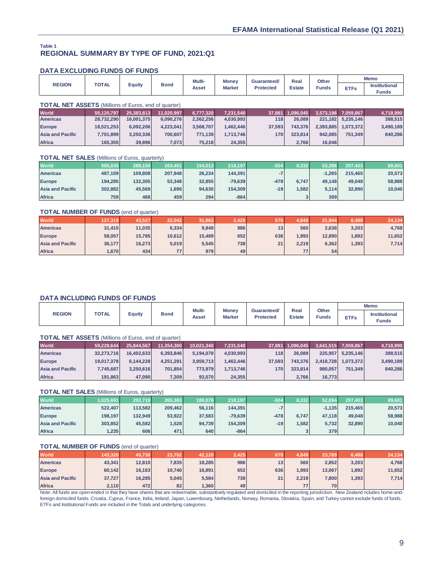#### **REGIONAL SUMMARY BY TYPE OF FUND, 2021:Q1 Table 1**

#### **DATA EXCLUDING FUNDS OF FUNDS**

|                                                             |              |              |             | Multi-    | <b>Money</b>  | Guaranteed/      | Real           | Other        | <b>Memo</b>           |                |  |
|-------------------------------------------------------------|--------------|--------------|-------------|-----------|---------------|------------------|----------------|--------------|-----------------------|----------------|--|
| <b>REGION</b>                                               | <b>TOTAL</b> | Equity       | <b>Bond</b> | Asset     | <b>Market</b> | <b>Protected</b> | <b>Estate</b>  | <b>Funds</b> | <b>ETFs</b>           | Institutional  |  |
|                                                             |              |              |             |           |               |                  |                |              |                       | <b>Funds</b>   |  |
|                                                             |              |              |             |           |               |                  |                |              |                       |                |  |
| <b>TOTAL NET ASSETS</b> (Millions of Euros, end of quarter) |              |              |             |           |               |                  |                |              |                       |                |  |
| <b>World</b>                                                | 55.120.797   | 25,383,813   | 11.020.997  | 6.777.320 | 7,231,540     | 37,881           | 1,096,045      |              | 3,573,198 7,059,867   | 4,718,990      |  |
| Americas                                                    | 29.722.200   | $AC$ 004 275 | 6.000.276   | 2.262.256 | 1.020.002     | 110              | <b>PRODUCT</b> |              | $224 492$ 6 $225 446$ | <b>200 E15</b> |  |

| <b>World</b>            | 55.120.797 | 25.383.813 | 11.020.997 | 6.777.320 | 7.231.540 |        | 37.881 1.096.045 |           | 3.573.198 7.059.867 | 4,718,990 |
|-------------------------|------------|------------|------------|-----------|-----------|--------|------------------|-----------|---------------------|-----------|
| <b>Americas</b>         | 28.732.290 | 16.001.375 | 6.090.276  | 2.362.256 | 4.030.993 | 118    | 26.089           |           | 221.182 5.235.146   | 388,515   |
| <b>Europe</b>           | 18.521.253 | 6.092.206  | 4.223.041  | 3.568.707 | 1.462.446 | 37.593 | 743.376          | 2.393.885 | 1.073.372           | 3,490,189 |
| <b>Asia and Pacific</b> | 7,701,899  | 3.250.336  | 700.607    | 771.139   | 1.713.746 | 170    | 323.814          | 942.085   | 751.349             | 840,286   |
| <b>Africa</b>           | 165,355    | 39,896     | 7,073      | 75.218    | 24,355    |        | 2,766            | 16,046    |                     |           |

#### **TOTAL NET SALES** (Millions of Euros, quarterly)

| <b>World</b>            | 985,035 | 288,150 | 263.451 | 154.013 | 218.197   | $-504$ | 8,332 | 53.396   | 297.403 | 89,601 |
|-------------------------|---------|---------|---------|---------|-----------|--------|-------|----------|---------|--------|
| <b>Americas</b>         | 487.109 | 109.808 | 207.948 | 26.234  | 144.391   |        |       | $-1.265$ | 215.465 | 20,573 |
| <b>Europe</b>           | 194.285 | 132.305 | 53,348  | 32.855  | $-79,639$ | $-478$ | 6.747 | 49.148   | 49.048  | 58,988 |
| <b>Asia and Pacific</b> | 302,882 | 45.569  | 1,696   | 94.630  | 154,309   | $-19$  | 1.582 | 5.114    | 32,890  | 10,040 |
| <b>Africa</b>           | 759     | 468     | 459     | 294     | $-864$    |        |       | 399      |         |        |

#### **TOTAL NUMBER OF FUNDS** (end of quarter)

| <b>World</b>            | 127,319 | 43.527 | 22.042 | 31,862 | 2.425 | 670 | 4.849 | 21.944 | 6.488 | 24,134 |
|-------------------------|---------|--------|--------|--------|-------|-----|-------|--------|-------|--------|
| <b>Americas</b>         | 31,415  | 11,035 | 6.334  | 9,849  | 986   | 13  | 560   | 2,638  | 3,203 | 4,768  |
| <b>Europe</b>           | 58,057  | 15,785 | 10.612 | 15.489 | 652   | 636 | 1.993 | 12,890 | ,892  | 11,652 |
| <b>Asia and Pacific</b> | 36,177  | 16.273 | 5.019  | 5.545  | 738   | 21  | 2.219 | 6,362  | ,393  | 7,714  |
| <b>Africa</b>           | 1,670   | 434    | 77     | 979    | 49    |     | 77    | 54     |       |        |

### **DATA INCLUDING FUNDS OF FUNDS**

|               |              |        |             | Multi- |                               |                                 | Other<br>Real |              |             | <b>Memo</b>                          |
|---------------|--------------|--------|-------------|--------|-------------------------------|---------------------------------|---------------|--------------|-------------|--------------------------------------|
| <b>REGION</b> | <b>TOTAL</b> | Equity | <b>Bond</b> | Asset  | <b>Money</b><br><b>Market</b> | Guaranteed/<br><b>Protected</b> | <b>Estate</b> | <b>Funds</b> | <b>ETFs</b> | <b>Institutional</b><br><b>Funds</b> |

|                         | <b>TOTAL NET ASSETS</b> (Millions of Euros, end of quarter) |            |            |            |           |        |                  |           |                     |           |  |  |
|-------------------------|-------------------------------------------------------------|------------|------------|------------|-----------|--------|------------------|-----------|---------------------|-----------|--|--|
| <b>World</b>            | 59,228,644                                                  | 25,844,567 | 11,354,300 | 10.021.340 | 7,231,540 |        | 37,881 1,096,045 |           | 3,641,515 7,059,867 | 4,718,990 |  |  |
| <b>Americas</b>         | 32,273,716                                                  | 16.402.633 | 6.393.846  | 5.194.078  | 4,030,993 | 118    | 26,089           | 225.957   | 5.235.146           | 388,515   |  |  |
| <b>Europe</b>           | 19,017,378                                                  | 6.144.228  | 4.251.291  | 3.959.713  | 1.462.446 | 37.593 | 743.376          | 2.418.728 | 1.073.372           | 3,490,189 |  |  |
| <b>Asia and Pacific</b> | 7,745,687                                                   | 3.250.616  | 701.854    | 773.979    | 1.713.746 | 170    | 323.814          | 980.057   | 751.349             | 840,286   |  |  |
| <b>Africa</b>           | 191,863                                                     | 47,090     | 7,309      | 93,570     | 24,355    |        | 2,766            | 16,773    |                     |           |  |  |

#### **TOTAL NET SALES** (Millions of Euros, quarterly)

| <b>World</b>            | 1,025,691 | 292,719 | 265,383 | 189.078 | 218,197   | $-504$ | 8,332 | 52.094   | 297.403 | 89,601 |
|-------------------------|-----------|---------|---------|---------|-----------|--------|-------|----------|---------|--------|
| <b>Americas</b>         | 522.407   | 113.582 | 209.462 | 56.116  | 144.391   |        |       | $-1.135$ | 215.465 | 20,573 |
| <b>Europe</b>           | 198.197   | 132.949 | 53.922  | 37.583  | $-79.639$ | $-478$ | 6.747 | 47.118   | 49.048  | 58,988 |
| <b>Asia and Pacific</b> | 303,852   | 45.582  | 1,528   | 94.739  | 154.309   | $-19$  | 1.582 | 5,732    | 32,890  | 10,040 |
| <b>Africa</b>           | .235      | 606     | 471     | 640     | $-864$    |        |       | 379      |         |        |

#### **TOTAL NUMBER OF FUNDS** (end of quarter)

| <b>World</b>            | 143,320 | 45,730 | 23,702 | 42.120 | 2.425 |     | 4,849. | 23,789 | 6.488 | 24,134 |
|-------------------------|---------|--------|--------|--------|-------|-----|--------|--------|-------|--------|
| <b>Americas</b>         | 43,341  | 12,810 | 7,835  | 18.285 | 986   | 13  | 560    | 2.852  | 3,203 | 4,768  |
| <b>Europe</b>           | 60,142  | 16,163 | 10.740 | 16.891 | 652   | 636 | 1.993  | 13,067 | ,892  | 11,652 |
| <b>Asia and Pacific</b> | 37,727  | 16,285 | 5.045  | 5,584  | 738   | 211 | 2.219  | 7,800  | , 393 | 7,714  |
| <b>Africa</b>           | 2,110   | 472    | 82     | ,360   | 49    |     | 77     | 70     |       |        |

Note: All funds are open-ended in that they have shares that are redeemable, substantively regulated and domiciled in the reporting jurisdiction. New Zealand ncludes home-andforeign domiciled funds. Croatia, Cyprus, France, India, Ireland, Japan, Luxembourg, Netherlands, Norway, Romania, Slovakia, Spain, and Turkey cannot exclude funds of funds. ETFs and Institutional Funds are included in the Totals and underlying categories.

 $\bar{z}$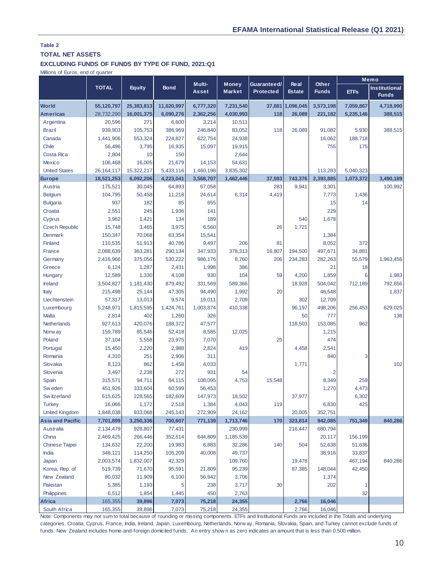## **TOTAL NET ASSETS**

## **EXCLUDING FUNDS OF FUNDS BY TYPE OF FUND, 2021:Q1**

Millions of Euros, end of quarter

|                                                                                                                                                         |                                                                                                                                                                                                                                                                                                        |               |             | Multi-       | <b>Money</b> | Guaranteed/      | Other<br><b>Real</b> |              |             | Memo                                 |
|---------------------------------------------------------------------------------------------------------------------------------------------------------|--------------------------------------------------------------------------------------------------------------------------------------------------------------------------------------------------------------------------------------------------------------------------------------------------------|---------------|-------------|--------------|--------------|------------------|----------------------|--------------|-------------|--------------------------------------|
|                                                                                                                                                         | <b>TOTAL</b>                                                                                                                                                                                                                                                                                           | <b>Equity</b> | <b>Bond</b> | <b>Asset</b> | Market       | <b>Protected</b> | <b>Estate</b>        | <b>Funds</b> | <b>ETFs</b> | <b>Institutional</b><br><b>Funds</b> |
| <b>World</b>                                                                                                                                            | 55,120,797                                                                                                                                                                                                                                                                                             | 25,383,813    | 11,020,997  | 6,777,320    | 7,231,540    |                  | 37,881 1,096,045     | 3,573,198    | 7,059,867   | 4,718,990                            |
| <b>Americas</b>                                                                                                                                         | 28,732,290                                                                                                                                                                                                                                                                                             | 16,001,375    | 6,090,276   | 2,362,256    | 4,030,993    | 118              | 26.089               | 221,182      | 5,235,146   | 388,515                              |
| Argentina                                                                                                                                               | 20,596                                                                                                                                                                                                                                                                                                 | 271           | 6,600       | 3,214        | 10,511       |                  |                      |              |             |                                      |
| <b>Brazil</b>                                                                                                                                           | 939,903                                                                                                                                                                                                                                                                                                | 105,753       | 386,969     | 246,840      | 83,052       | 118              | 26,089               | 91,082       | 5,930       | 388,515                              |
| Canada                                                                                                                                                  | 1,441,906                                                                                                                                                                                                                                                                                              | 553,324       | 224,827     | 622,754      | 24,938       |                  |                      | 16,062       | 188,718     |                                      |
| Chile                                                                                                                                                   | 56,496                                                                                                                                                                                                                                                                                                 | 3,795         | 16,935      | 15,097       | 19,915       |                  |                      | 755          | 175         |                                      |
| Costa Rica                                                                                                                                              | 2,804                                                                                                                                                                                                                                                                                                  | 10            | 150         |              | 2,644        |                  |                      |              |             |                                      |
| <b>Mexico</b>                                                                                                                                           | 106,468                                                                                                                                                                                                                                                                                                | 16,005        | 21,679      | 14,153       | 54,631       |                  |                      |              |             |                                      |
| <b>United States</b>                                                                                                                                    | 26, 164, 117                                                                                                                                                                                                                                                                                           | 15,322,217    | 5,433,116   | 1,460,198    | 3,835,302    |                  |                      | 113,283      | 5,040,323   |                                      |
| <b>Europe</b>                                                                                                                                           | 18,521,253                                                                                                                                                                                                                                                                                             | 6,092,206     | 4,223,041   | 3,568,707    | 1,462,446    | 37,593           | 743,376              | 2,393,885    | 1,073,372   | 3,490,189                            |
| Austria                                                                                                                                                 | 175,521                                                                                                                                                                                                                                                                                                | 30,045        | 64,893      | 67,058       |              | 283              | 9,941                | 3,301        |             | 100,992                              |
| Belgium                                                                                                                                                 | 104,795                                                                                                                                                                                                                                                                                                | 50,458        | 11,218      | 24,614       | 6,314        | 4,419            |                      | 7,773        | 1,436       |                                      |
| <b>Bulgaria</b>                                                                                                                                         | 937                                                                                                                                                                                                                                                                                                    | 182           | 85          | 655          |              |                  |                      | 15           | 14          |                                      |
| Croatia                                                                                                                                                 | 2,551                                                                                                                                                                                                                                                                                                  | 245           | 1,936       | 141          |              |                  |                      | 229          |             |                                      |
| Cyprus                                                                                                                                                  | 3,962                                                                                                                                                                                                                                                                                                  | 1,421         | 134         | 189          |              |                  | 540                  | 1,678        |             |                                      |
| <b>Czech Republic</b>                                                                                                                                   | 15,748                                                                                                                                                                                                                                                                                                 | 3,465         | 3,975       | 6,560        |              | 26               | 1,721                |              |             |                                      |
| Denmark                                                                                                                                                 | 150,347                                                                                                                                                                                                                                                                                                | 70,068        | 63,354      | 15,541       |              |                  |                      | 1,384        |             |                                      |
| Finland                                                                                                                                                 | 110,535                                                                                                                                                                                                                                                                                                | 51,913        | 40,786      | 9,497        | 206          | 81               |                      | 8,052        | 372         |                                      |
| France                                                                                                                                                  | 2,088,639                                                                                                                                                                                                                                                                                              | 363,281       | 290,134     | 347,933      | 378,313      | 16,807           | 194,500              | 497,671      | 34,881      |                                      |
| Germany                                                                                                                                                 | 2,416,966                                                                                                                                                                                                                                                                                              | 375,056       | 530,222     | 986,176      | 8,760        | 206              | 234,283              | 282,263      | 55,579      | 1,963,456                            |
| Greece                                                                                                                                                  | 6,124                                                                                                                                                                                                                                                                                                  | 1,287         | 2,431       | 1,998        | 386          |                  |                      | 21           | 18          |                                      |
| Hungary                                                                                                                                                 | 12,589                                                                                                                                                                                                                                                                                                 | 1,330         | 4,108       | 930          | 104          | 59               | 4,200                | 1,859        | 6           | 1,983                                |
| Ireland                                                                                                                                                 | 3,504,827                                                                                                                                                                                                                                                                                              | 1,181,430     | 879,492     | 331,569      | 589,366      |                  | 18,928               | 504,042      | 712,189     | 792,656                              |
| Italy                                                                                                                                                   | 215,498                                                                                                                                                                                                                                                                                                | 25,144        | 47,305      | 94,490       | 1,992        | 20               |                      | 46,548       |             | 1,837                                |
| Liechtenstein                                                                                                                                           | 57,317                                                                                                                                                                                                                                                                                                 | 13,013        | 9,574       | 19,011       | 2,709        |                  | 302                  | 12,709       |             |                                      |
| Luxembourg                                                                                                                                              | 5,248,971                                                                                                                                                                                                                                                                                              | 1,815,595     | 1,424,761   | 1,003,874    | 410,338      |                  | 96,197               | 498,206      | 256,453     | 629,025                              |
| Malta                                                                                                                                                   | 2,814                                                                                                                                                                                                                                                                                                  | 402           | 1,260       | 326          |              |                  | 50                   | 777          |             | 138                                  |
| Netherlands                                                                                                                                             | 927,613                                                                                                                                                                                                                                                                                                | 420,076       | 188,372     | 47,577       |              |                  | 118,503              | 153,085      | 962         |                                      |
| Norw ay                                                                                                                                                 | 159,789                                                                                                                                                                                                                                                                                                | 85,546        | 52,418      | 8,585        | 12,025       |                  |                      | 1,215        |             |                                      |
| Poland                                                                                                                                                  | 37,104                                                                                                                                                                                                                                                                                                 | 5,558         | 23,975      | 7,070        |              | 25               |                      | 474          |             |                                      |
| Portugal                                                                                                                                                | 15,450                                                                                                                                                                                                                                                                                                 | 2,220         | 2,988       | 2,824        | 419          |                  | 4,458                | 2,541        |             |                                      |
| Romania                                                                                                                                                 | 4,310                                                                                                                                                                                                                                                                                                  | 251           | 2,906       | 311          |              |                  |                      | 840          | 3           |                                      |
| Slovakia                                                                                                                                                | 8,123                                                                                                                                                                                                                                                                                                  | 862           | 1,458       | 4,033        |              |                  | 1,771                |              |             | 102                                  |
| Slovenia                                                                                                                                                | 3,497                                                                                                                                                                                                                                                                                                  | 2,238         | 272         | 931          | 54           |                  |                      | 2            |             |                                      |
| Spain                                                                                                                                                   | 315,571                                                                                                                                                                                                                                                                                                | 94,711        | 84,115      | 108,095      | 4,753        | 15,548           |                      | 8,349        | 259         |                                      |
| Sw eden                                                                                                                                                 | 451,926                                                                                                                                                                                                                                                                                                | 333,604       | 60,599      | 56,453       |              |                  |                      | 1,270        | 4,473       |                                      |
| Sw itzerland                                                                                                                                            | 615,625                                                                                                                                                                                                                                                                                                | 228,565       | 182,609     | 147,973      | 18,502       |                  | 37,977               |              | 6,302       |                                      |
| <b>Turkey</b>                                                                                                                                           | 16,066                                                                                                                                                                                                                                                                                                 | 1,172         | 2,518       | 1,384        | 4,043        | 119              |                      | 6,830        | 425         |                                      |
| <b>United Kingdom</b>                                                                                                                                   | 1,848,038                                                                                                                                                                                                                                                                                              | 933,068       | 245,143     | 272,909      | 24,162       |                  | 20,005               | 352,751      |             |                                      |
| <b>Asia and Pacific</b>                                                                                                                                 | 7,701,899                                                                                                                                                                                                                                                                                              | 3,250,336     | 700,607     | 771,139      | 1,713,746    | 170              | 323,814              | 942,085      | 751,349     | 840,286                              |
| Australia                                                                                                                                               | 2,134,479                                                                                                                                                                                                                                                                                              | 928,807       | 77,431      |              | 230,999      |                  | 216,447              | 680,794      |             |                                      |
| China                                                                                                                                                   | 2,469,425                                                                                                                                                                                                                                                                                              | 266,446       | 352,514     | 644,809      | 1,185,539    |                  |                      | 20,117       | 156,199     |                                      |
| <b>Chinese Taipei</b>                                                                                                                                   | 134,632                                                                                                                                                                                                                                                                                                | 22,200        | 19,983      | 6,883        | 32,286       | 140              | 504                  | 52,638       | 51,636      |                                      |
| India                                                                                                                                                   | 348,121                                                                                                                                                                                                                                                                                                | 114,250       | 105,209     | 40,008       | 49,737       |                  |                      | 38,916       | 33,837      |                                      |
| Japan                                                                                                                                                   | 2,003,574                                                                                                                                                                                                                                                                                              | 1,832,007     | 42,329      |              | 109,760      |                  | 19,478               |              | 467,194     | 840,286                              |
| Korea, Rep. of                                                                                                                                          | 519,739                                                                                                                                                                                                                                                                                                | 71,670        | 95,591      | 21,809       | 95,239       |                  | 87,385               | 148,044      | 42,450      |                                      |
| New Zealand                                                                                                                                             | 80,032                                                                                                                                                                                                                                                                                                 | 11,909        | 6,100       | 56,942       | 3,706        |                  |                      | 1,374        |             |                                      |
| Pakistan                                                                                                                                                | 5,385                                                                                                                                                                                                                                                                                                  | 1,193         | 5           | 238          | 3,717        | 30               |                      | 202          |             |                                      |
| Philippines                                                                                                                                             | 6,512                                                                                                                                                                                                                                                                                                  | 1,854         | 1,445       | 450          | 2,763        |                  |                      |              | 32          |                                      |
| Africa                                                                                                                                                  | 165,355                                                                                                                                                                                                                                                                                                | 39,896        | 7,073       | 75,218       | 24,355       |                  | 2,766                | 16,046       |             |                                      |
| South Africa                                                                                                                                            | 165,355                                                                                                                                                                                                                                                                                                | 39,896        | 7,073       | 75,218       | 24,355       |                  | 2,766                | 16,046       |             |                                      |
| Note: Components may not sum to total because of rounding or missing components. ETFs and Institutional Funds are included in the Totals and underlying |                                                                                                                                                                                                                                                                                                        |               |             |              |              |                  |                      |              |             |                                      |
|                                                                                                                                                         | categories. Croatia, Cyprus, France, India, Ireland, Japan, Luxembourg, Netherlands, Norway, Romania, Slovakia, Spain, and Turkey cannot exclude funds of<br>funds. New Zealand includes home-and-foreign domiciled funds. An entry shown as zero indicates an amount that is less than 0.500 million. |               |             |              |              |                  |                      |              |             |                                      |

Note: Components may not sum to total because of rounding or missing components. ETFs and Institutional Funds are included in the Totals and underlying Funds. New Zealand includes home-and-foreign domiciled funds. An entry shown as zero indicates an amount that is less than 0.500 million.<br>
An entry shown as zero indicates an amount that is less than 0.500 million.<br>
The sa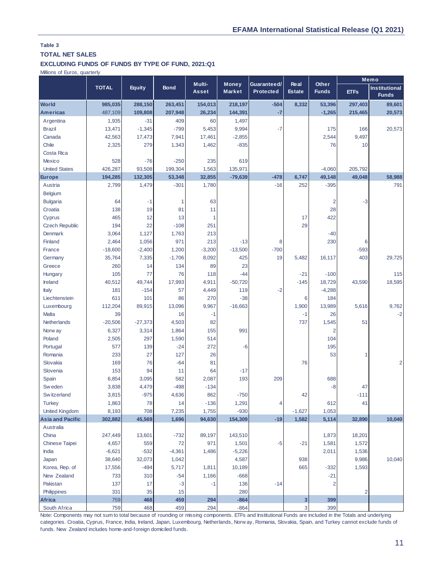# **TOTAL NET SALES**

## **EXCLUDING FUNDS OF FUNDS BY TYPE OF FUND, 2021:Q1**

Millions of Euros, quarterly

|                                                                                                                                                         |                                                                                                                                                                                                                             |               |             | Multi-       | <b>Money</b> | Guaranteed/      | <b>Real</b>   | Other        |                | Memo                                 |
|---------------------------------------------------------------------------------------------------------------------------------------------------------|-----------------------------------------------------------------------------------------------------------------------------------------------------------------------------------------------------------------------------|---------------|-------------|--------------|--------------|------------------|---------------|--------------|----------------|--------------------------------------|
|                                                                                                                                                         | <b>TOTAL</b>                                                                                                                                                                                                                | <b>Equity</b> | <b>Bond</b> | <b>Asset</b> | Market       | <b>Protected</b> | <b>Estate</b> | <b>Funds</b> | <b>ETFs</b>    | <b>Institutional</b><br><b>Funds</b> |
| <b>World</b>                                                                                                                                            | 985,035                                                                                                                                                                                                                     | 288,150       | 263,451     | 154,013      | 218,197      | $-504$           | 8,332         | 53,396       | 297,403        | 89,601                               |
| <b>Americas</b>                                                                                                                                         | 487,109                                                                                                                                                                                                                     | 109,808       | 207,948     | 26,234       | 144,391      | $-7$             |               | $-1,265$     | 215,465        | 20,573                               |
| Argentina                                                                                                                                               | 1,935                                                                                                                                                                                                                       | $-31$         | 409         | 60           | 1,497        |                  |               |              |                |                                      |
| <b>Brazil</b>                                                                                                                                           | 13,471                                                                                                                                                                                                                      | $-1,345$      | $-799$      | 5,453        | 9,994        | $-7$             |               | 175          | 166            | 20,573                               |
| Canada                                                                                                                                                  | 42,563                                                                                                                                                                                                                      | 17,473        | 7,941       | 17,461       | $-2,855$     |                  |               | 2,544        | 9,497          |                                      |
| Chile                                                                                                                                                   | 2,325                                                                                                                                                                                                                       | 279           | 1,343       | 1,462        | $-835$       |                  |               | 76           | 10             |                                      |
| <b>Costa Rica</b>                                                                                                                                       |                                                                                                                                                                                                                             |               |             |              |              |                  |               |              |                |                                      |
| <b>Mexico</b>                                                                                                                                           | 528                                                                                                                                                                                                                         | $-76$         | $-250$      | 235          | 619          |                  |               |              |                |                                      |
| <b>United States</b>                                                                                                                                    | 426,287                                                                                                                                                                                                                     | 93,508        | 199,304     | 1,563        | 135,971      |                  |               | $-4,060$     | 205,792        |                                      |
| <b>Europe</b>                                                                                                                                           | 194,285                                                                                                                                                                                                                     | 132,305       | 53,348      | 32,855       | $-79,639$    | $-478$           | 6,747         | 49,148       | 49,048         | 58,988                               |
| Austria                                                                                                                                                 | 2,799                                                                                                                                                                                                                       | 1,479         | $-301$      | 1,780        |              | $-16$            | 252           | $-395$       |                | 791                                  |
| Belgium                                                                                                                                                 |                                                                                                                                                                                                                             |               |             |              |              |                  |               |              |                |                                      |
| <b>Bulgaria</b>                                                                                                                                         | 64                                                                                                                                                                                                                          | $-1$          | 1           | 63           |              |                  |               | 2            | $-3$           |                                      |
| Croatia                                                                                                                                                 | 138                                                                                                                                                                                                                         | 19            | 81          | 11           |              |                  |               | 28           |                |                                      |
| Cyprus                                                                                                                                                  | 465                                                                                                                                                                                                                         | 12            | 13          | 1            |              |                  | 17            | 422          |                |                                      |
| <b>Czech Republic</b>                                                                                                                                   | 194                                                                                                                                                                                                                         | 22            | $-108$      | 251          |              |                  | 29            |              |                |                                      |
| <b>Denmark</b>                                                                                                                                          | 3,064                                                                                                                                                                                                                       | 1,127         | 1,763       | 213          |              |                  |               | $-40$        |                |                                      |
| Finland                                                                                                                                                 | 2,464                                                                                                                                                                                                                       | 1,056         | 971         | 213          | $-13$        | 8                |               | 230          | 6              |                                      |
| France                                                                                                                                                  | $-18,600$                                                                                                                                                                                                                   | $-2,400$      | 1,200       | $-3,200$     | $-13,500$    | $-700$           |               |              | $-593$         |                                      |
| Germany                                                                                                                                                 | 35,764                                                                                                                                                                                                                      | 7,335         | $-1,706$    | 8,092        | 425          | 19               | 5,482         | 16,117       | 403            | 29,725                               |
| Greece                                                                                                                                                  | 260                                                                                                                                                                                                                         | 14            | 134         | 89           | 23           |                  |               |              |                |                                      |
| Hungary                                                                                                                                                 | 105                                                                                                                                                                                                                         | 77            | 76          | 118          | $-44$        |                  | $-21$         | $-100$       |                | 115                                  |
| Ireland                                                                                                                                                 | 40,512                                                                                                                                                                                                                      | 49,744        | 17,993      | 4,911        | $-50,720$    |                  | $-145$        | 18,729       | 43,590         | 18,595                               |
| Italy                                                                                                                                                   | 181                                                                                                                                                                                                                         | $-154$        | 57          | 4,449        | 119          | $-2$             |               | $-4,288$     |                |                                      |
| Liechtenstein                                                                                                                                           | 611                                                                                                                                                                                                                         | 101           | 86          | 270          | $-38$        |                  | 6             | 184          |                |                                      |
| Luxembourg                                                                                                                                              | 112,204                                                                                                                                                                                                                     | 89,915        | 13,096      | 9,967        | $-16,663$    |                  | 1,900         | 13,989       | 5,616          | 9,762                                |
| Malta                                                                                                                                                   | 39                                                                                                                                                                                                                          |               | 16          | $-1$         |              |                  | -1            | 26           |                | $-2$                                 |
| Netherlands                                                                                                                                             | $-20,506$                                                                                                                                                                                                                   | $-27,373$     | 4,503       | 82           |              |                  | 737           | 1,545        | 51             |                                      |
| Norw ay                                                                                                                                                 | 6,327                                                                                                                                                                                                                       | 3,314         | 1,864       | 155          | 991          |                  |               | 2            |                |                                      |
| Poland                                                                                                                                                  | 2,505                                                                                                                                                                                                                       | 297           | 1,590       | 514          |              |                  |               | 104          |                |                                      |
| Portugal                                                                                                                                                | 577                                                                                                                                                                                                                         | 139           | $-24$       | 272          | $-6$         |                  |               | 195          |                |                                      |
| Romania                                                                                                                                                 | 233                                                                                                                                                                                                                         | 27            | 127         | 26           |              |                  |               | 53           |                |                                      |
| Slovakia                                                                                                                                                | 169                                                                                                                                                                                                                         | 76            | $-64$       | 81           |              |                  | 76            |              |                | 2                                    |
| Slovenia                                                                                                                                                | 153                                                                                                                                                                                                                         | 94            | 11          | 64           | $-17$        |                  |               |              |                |                                      |
| Spain                                                                                                                                                   | 6,854                                                                                                                                                                                                                       | 3,095         | 582         | 2,087        | 193          | 209              |               | 688          |                |                                      |
| Sw eden                                                                                                                                                 | 3,838                                                                                                                                                                                                                       | 4,479         | $-498$      | $-134$       |              |                  |               | $-8$         | 47             |                                      |
| Sw itzerland                                                                                                                                            | 3,815                                                                                                                                                                                                                       | $-975$        | 4,636       | 862          | $-750$       |                  | 42            |              | $-111$         |                                      |
| <b>Turkey</b>                                                                                                                                           | 1,863                                                                                                                                                                                                                       | 78            | 14          | $-136$       | 1,291        | 4                |               | 612          | 41             |                                      |
| <b>United Kingdom</b>                                                                                                                                   | 8,193                                                                                                                                                                                                                       | 708           | 7,235       | 1,755        | $-930$       |                  | $-1,627$      | 1,053        |                |                                      |
| <b>Asia and Pacific</b>                                                                                                                                 | 302,882                                                                                                                                                                                                                     | 45,569        | 1,696       | 94,630       | 154,309      | $-19$            | 1,582         | 5,114        | 32,890         | 10,040                               |
| Australia                                                                                                                                               |                                                                                                                                                                                                                             |               |             |              |              |                  |               |              |                |                                      |
| China                                                                                                                                                   | 247,449                                                                                                                                                                                                                     | 13,601        | $-732$      | 89,197       | 143,510      |                  |               | 1,873        | 18,201         |                                      |
| <b>Chinese Taipei</b>                                                                                                                                   | 4,657                                                                                                                                                                                                                       | 559           | 72          | 971          | 1,501        | -5               | $-21$         | 1,581        | 1,572          |                                      |
| India                                                                                                                                                   | $-6,621$                                                                                                                                                                                                                    | $-532$        | $-4,361$    | 1,486        | $-5,226$     |                  |               | 2,011        | 1,536          |                                      |
| Japan                                                                                                                                                   | 38,640                                                                                                                                                                                                                      | 32,073        | 1,042       |              | 4,587        |                  | 938           |              | 9,986          | 10,040                               |
| Korea, Rep. of                                                                                                                                          | 17,556                                                                                                                                                                                                                      | $-494$        | 5,717       | 1,811        | 10,189       |                  | 665           | $-332$       | 1,593          |                                      |
| New Zealand                                                                                                                                             | 733                                                                                                                                                                                                                         | 310           | $-54$       | 1,166        | $-668$       |                  |               | $-21$        |                |                                      |
| Pakistan                                                                                                                                                | 137                                                                                                                                                                                                                         | 17            | $-3$        | $-1$         | 136          | $-14$            |               | 2            |                |                                      |
| Philippines                                                                                                                                             | 331                                                                                                                                                                                                                         | 35            | 15          |              | 280          |                  |               |              | $\overline{2}$ |                                      |
| <b>Africa</b>                                                                                                                                           | 759                                                                                                                                                                                                                         | 468           | 459         | 294          | $-864$       |                  | $\mathbf{3}$  | 399          |                |                                      |
| South Africa                                                                                                                                            | 759                                                                                                                                                                                                                         | 468           | 459         | 294          | $-864$       |                  | 3             | 399          |                |                                      |
| Note: Components may not sum to total because of rounding or missing components. ETFs and Institutional Funds are included in the Totals and underlying |                                                                                                                                                                                                                             |               |             |              |              |                  |               |              |                |                                      |
|                                                                                                                                                         | categories. Croatia, Cyprus, France, India, Ireland, Japan, Luxembourg, Netherlands, Norw ay, Romania, Slovakia, Spain, and Turkey cannot exclude funds of<br>funds. New Zealand includes home-and-foreign domiciled funds. |               |             |              |              |                  |               |              |                |                                      |

Note: Components may not sum to total because of rounding or missing components. ETFs and Institutional Funds are included in the Totals and underlying funds. New Zealand includes home-and-foreign domiciled funds.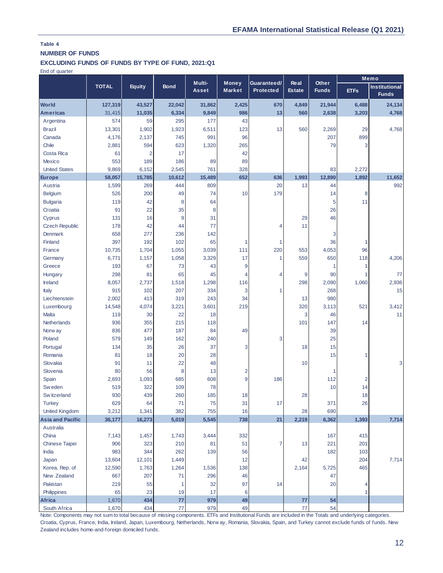# **NUMBER OF FUNDS**

## **EXCLUDING FUNDS OF FUNDS BY TYPE OF FUND, 2021:Q1**

End of quarter

|                               |               |                |              |                        |                               |                          |                              |                       |                | Memo                                 |
|-------------------------------|---------------|----------------|--------------|------------------------|-------------------------------|--------------------------|------------------------------|-----------------------|----------------|--------------------------------------|
|                               | <b>TOTAL</b>  | Equity         | <b>Bond</b>  | Multi-<br><b>Asset</b> | <b>Money</b><br><b>Market</b> | Guaranteed/<br>Protected | <b>Real</b><br><b>Estate</b> | Other<br><b>Funds</b> | <b>ETFs</b>    | <b>Institutional</b><br><b>Funds</b> |
| <b>World</b>                  | 127,319       | 43,527         | 22,042       | 31,862                 | 2,425                         | 670                      | 4,849                        | 21,944                | 6,488          | 24,134                               |
| <b>Americas</b>               | 31,415        | 11,035         | 6,334        | 9,849                  | 986                           | 13                       | 560                          | 2,638                 | 3,203          | 4,768                                |
| Argentina                     | 574           | 59             | 295          | 177                    | 43                            |                          |                              |                       |                |                                      |
| <b>Brazil</b>                 | 13,301        | 1,902          | 1,923        | 6,511                  | 123                           | 13                       | 560                          | 2,269                 | 29             | 4,768                                |
| Canada                        | 4,176         | 2,137          | 745          | 991                    | 96                            |                          |                              | 207                   | 899            |                                      |
| Chile                         | 2,881         | 594            | 623          | 1,320                  | 265                           |                          |                              | 79                    | 3              |                                      |
| Costa Rica                    | 61            | $\overline{2}$ | 17           |                        | 42                            |                          |                              |                       |                |                                      |
| <b>Mexico</b>                 | 553           | 189            | 186          | 89                     | 89                            |                          |                              |                       |                |                                      |
| <b>United States</b>          | 9,869         | 6,152          | 2,545        | 761                    | 328                           |                          |                              | 83                    | 2,272          |                                      |
| <b>Europe</b>                 | 58,057        | 15,785         | 10,612       | 15,489                 | 652                           | 636                      | 1,993                        | 12,890                | 1,892          | 11,652                               |
| Austria                       | 1,599         | 269            | 444          | 809                    |                               | 20                       | 13                           | 44                    |                | 992                                  |
| Belgium                       | 526           | 200            | 49           | 74                     | 10                            | 179                      |                              | 14                    | 8              |                                      |
| <b>Bulgaria</b>               | 119           | 42             | 8            | 64                     |                               |                          |                              | 5                     | 11             |                                      |
| Croatia                       | 91            | 22             | 35           | 8                      |                               |                          |                              | 26                    |                |                                      |
| Cyprus                        | 131           | 16             | 9            | 31                     |                               |                          | 29                           | 46                    |                |                                      |
| <b>Czech Republic</b>         | 178           | 42             | 44           | 77                     |                               | 4                        | 11                           |                       |                |                                      |
| <b>Denmark</b>                | 658           | 277            | 236          | 142                    |                               |                          |                              | 3                     |                |                                      |
| Finland                       | 397           | 192            | 102          | 65                     | 1                             | 1                        |                              | 36                    | 1              |                                      |
| France                        | 10,735        | 1,704          | 1,055        | 3,039                  | 111                           | 220                      | 553                          | 4,053                 | 96             |                                      |
| Germany                       | 6,771         | 1,157          | 1,058        | 3,329                  | 17                            | $\mathbf{1}$             | 559                          | 650                   | 118            | 4,206                                |
| Greece                        | 193           | 67             | 73           | 43                     | 9                             |                          |                              | 1                     | 1              |                                      |
| Hungary                       | 298           | 81             | 65           | 45                     | 4                             | 4                        | 9                            | 90                    | 1              | 77                                   |
| Ireland                       | 8,057         | 2,737          | 1,518        | 1,298                  | 116                           |                          | 298                          | 2,090                 | 1,060          | 2,936                                |
| Italy                         | 915           | 102            | 207          | 334                    | 3                             | 1                        |                              | 268                   |                | 15                                   |
| Liechtenstein                 | 2,002         | 413            | 319          | 243                    | 34                            |                          | 13                           | 980                   |                |                                      |
| Luxembourg                    | 14,548        | 4,074          | 3,221        | 3,601                  | 219                           |                          | 320                          | 3,113                 | 521            | 3,412                                |
| Malta                         | 119           | 30             | 22           | 18                     |                               |                          | 3                            | 46                    |                | 11                                   |
| Netherlands                   | 936           | 355            | 215          | 118                    |                               |                          | 101                          | 147                   | 14             |                                      |
| Norw ay                       | 836           | 477            | 187          | 84                     | 49                            |                          |                              | 39                    |                |                                      |
| Poland                        | 579           | 149            | 162          | 240                    |                               | 3                        |                              | 25                    |                |                                      |
| Portugal                      | 134           | 35             | 26           | 37                     | 3                             |                          | 18                           | 15                    |                |                                      |
| Romania                       | 81            | 18             | 20           | 28                     |                               |                          |                              | 15                    | $\mathbf{1}$   |                                      |
| Slovakia                      | 91            | 11             | 22           | 48                     |                               |                          | 10                           |                       |                | 3                                    |
| Slovenia                      | 80            | 56             | 8            | 13                     | $\overline{2}$                |                          |                              | 1                     |                |                                      |
| Spain                         | 2,693         | 1,093          | 685          | 608                    | 9                             | 186                      |                              | 112                   | $\overline{2}$ |                                      |
| Sw eden                       | 519           | 322            | 109          | 78                     |                               |                          |                              | 10                    | 14             |                                      |
| Sw itzerland                  | 930           | 439            | 260          | 185                    | 18                            |                          | 28                           |                       | 18             |                                      |
| <b>Turkey</b>                 | 629           | 64             | 71           | 75                     | 31                            | 17                       |                              | 371                   | 26             |                                      |
| <b>United Kingdom</b>         | 3,212         | 1,341          | 382          | 755                    | 16                            |                          | 28                           | 690                   |                |                                      |
| <b>Asia and Pacific</b>       | 36,177        | 16,273         | 5,019        | 5,545                  | 738                           | 21                       | 2,219                        | 6,362                 | 1,393          | 7,714                                |
| Australia                     |               |                |              |                        |                               |                          |                              |                       |                |                                      |
| China<br>Chinese Taipei       | 7,143<br>906  | 1,457<br>323   | 1,743<br>210 | 3,444<br>81            | 332<br>51                     | 7                        | 13                           | 167<br>221            | 415<br>201     |                                      |
| India                         | 983           | 344            | 262          | 139                    | 56                            |                          |                              | 182                   | 103            |                                      |
| Japan                         | 13,604        | 12,101         | 1,449        |                        | 12                            |                          | 42                           |                       | 204            | 7,714                                |
|                               |               |                |              |                        | 138                           |                          |                              |                       | 465            |                                      |
| Korea, Rep. of<br>New Zealand | 12,590<br>667 | 1,763<br>207   | 1,264<br>71  | 1,536<br>296           | 46                            |                          | 2,164                        | 5,725<br>47           |                |                                      |
| Pakistan                      | 219           | 55             | 1            | 32                     | 97                            | 14                       |                              | 20                    | 4              |                                      |
| Philippines                   | 65            | 23             | 19           | 17                     | 6                             |                          |                              |                       | 1              |                                      |
| Africa                        | 1,670         | 434            | 77           | 979                    | 49                            |                          | 77                           | 54                    |                |                                      |
| South Africa                  | 1,670         | 434            | $77 \,$      | 979                    | 49                            |                          | 77                           | 54                    |                |                                      |

Note: Components may not sum to total because of missing components. ETFs and Institutional Funds are included in the Totals and underlying categories. Croatia, Cyprus, France, India, Ireland, Japan, Luxembourg, Netherlands, Norw ay, Romania, Slovakia, Spain, and Turkey cannot exclude funds of funds. New Zealand includes home-and-foreign domiciled funds.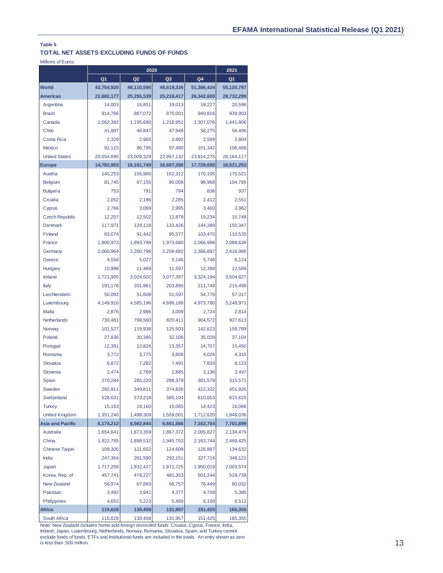### **TOTAL NET ASSETS EXCLUDING FUNDS OF FUNDS**

Millions of Euros

|                         |                | 2020           |                | 2021       |                |
|-------------------------|----------------|----------------|----------------|------------|----------------|
|                         | Q <sub>1</sub> | Q <sub>2</sub> | Q <sub>3</sub> | Q4         | Q <sub>1</sub> |
| <b>World</b>            | 43,754,920     | 48,110,590     | 48,619,336     | 51,386,424 | 55,120,797     |
| <b>Americas</b>         | 22,682,177     | 25,255,539     | 25,218,417     | 26,342,600 | 28,732,290     |
| Argentina               | 14,003         | 16.851         | 19,013         | 18,227     | 20,596         |
| <b>Brazil</b>           | 914,766        | 887,072        | 875,001        | 940.816    | 939,903        |
| Canada                  | 1,062,382      | 1,195,680      | 1,218,951      | 1,307,076  | 1,441,906      |
| Chile                   | 41,887         | 46,847         | 47,948         | 58,275     | 56,496         |
| Costa Rica              | 2,329          | 2,965          | 2,892          | 2,589      | 2,804          |
| Mexico                  | 92,115         | 96,795         | 97.480         | 101,342    | 106,468        |
| <b>United States</b>    | 20,554,695     | 23,009,329     | 22,957,132     | 23,914,275 | 26, 164, 117   |
| <b>Europe</b>           | 14,782,903     | 16,161,749     | 16,607,396     | 17,729,695 | 18,521,253     |
| Austria                 | 145,253        | 155,960        | 162,312        | 170,195    | 175,521        |
| <b>Belgium</b>          | 81,745         | 87,155         | 90,008         | 96,968     | 104,795        |
| <b>Bulgaria</b>         | 753            | 791            | 794            | 836        | 937            |
| Croatia                 | 2,052          | 2,186          | 2,285          | 2,412      | 2,551          |
| Cyprus                  | 2,766          | 3,069          | 2,995          | 3,400      | 3,962          |
| <b>Czech Republic</b>   | 12,257         | 12,502         | 12,879         | 15,234     | 15,748         |
| Denmark                 | 117,971        | 129,118        | 133,426        | 144,389    | 150,347        |
| Finland                 | 83,074         | 91,442         | 95,577         | 103,470    | 110,535        |
| France                  | 1,800,973      | 1,893,798      | 1,973,680      | 2,066,996  | 2,088,639      |
| Germany                 | 2,060,964      | 2,200,796      | 2,256,682      | 2,366,897  | 2,416,966      |
| Greece                  | 4,558          | 5,027          | 5.146          | 5,746      | 6,124          |
| Hungary                 | 10,998         | 11,469         | 11,597         | 12,399     | 12,589         |
| Ireland                 | 2,721,905      | 3,024,502      | 3,077,397      | 3,324,194  | 3,504,827      |
| Italy                   | 191,178        | 201,861        | 203,890        | 211,748    | 215,498        |
| Liechtenstein           | 50,092         | 51,608         | 51,597         | 54,776     | 57,317         |
| Luxembourg              | 4,149,916      | 4,585,196      | 4,696,186      | 4,973,780  | 5,248,971      |
| Malta                   | 2,876          | 2,986          | 3,009          | 2,724      | 2,814          |
| Netherlands             | 730,481        | 799,560        | 820,411        | 904,572    | 927,613        |
| Norway                  | 101,527        | 119,938        | 125,503        | 142,623    | 159,789        |
| Poland                  | 27,836         | 30,395         | 32,106         | 35,028     | 37,104         |
| Portugal                | 12,391         | 12,826         | 13,357         | 14,707     | 15,450         |
| Romania                 | 3,772          | 3,775          | 3,808          | 4,026      | 4,310          |
| Slovakia                | 6,872          | 7,282          | 7,491          | 7,833      | 8,123          |
| Slovenia                | 2,474          | 2,789          | 2,885          | 3,136      | 3,497          |
| Spain                   | 270,284        | 285,220        | 288,379        | 301,578    | 315,571        |
| Sweden                  | 292,911        | 349,811        | 374,826        | 422,332    | 451,926        |
| Switzerland             | 528,631        | 573,218        | 585,104        | 610,653    | 615,625        |
| <b>Turkey</b>           | 15,153         | 19,160         | 15,065         | 14,423     | 16,066         |
| <b>United Kingdom</b>   | 1,351,240      | 1,498,309      | 1,559,001      | 1,712,620  | 1,848,038      |
| <b>Asia and Pacific</b> | 6,174,212      | 6,562,844      | 6,661,566      | 7,162,704  | 7,701,899      |
| Australia               | 1,654,641      | 1,873,359      | 1,867,372      | 2,005,827  | 2,134,479      |
| China                   | 1,922,785      | 1,898,532      | 1,945,753      | 2,163,744  | 2,469,425      |
| <b>Chinese Taipei</b>   | 109,305        | 121,652        | 124,609        | 126,887    | 134,632        |
| India                   | 247,364        | 281,590        | 292,151        | 327,716    | 348,121        |
| Japan                   | 1,717,258      | 1,832,427      | 1,871,725      | 1,950,019  | 2,003,574      |
| Korea, Rep. of          | 457,741        | 478,227        | 481,353        | 501,244    | 519,739        |
| New Zealand             | 56,974         | 67,893         | 68,757         | 76,449     | 80,032         |
| Pakistan                | 3,492          | 3,941          | 4,377          | 4,709      | 5,385          |
| Philippines             | 4,652          | 5,223          | 5,469          | 6,109      | 6,512          |
| <b>Africa</b>           | 115,628        | 130,458        | 131,957        | 151,425    | 165,355        |
| South Africa            | 115,628        | 130,458        | 131,957        | 151,425    | 165,355        |

Note: New Zealand includes home-and-foreign domiciled funds. Croatia, Cyprus, France, India, Ireland, Japan, Luxembourg, Netherlands, Norway, Romania, Slovakia, Spain, and Turkey cannot exclude funds of funds. ETFs and Institutional funds are included in the totals. An entry shown as zero is less than .500 million.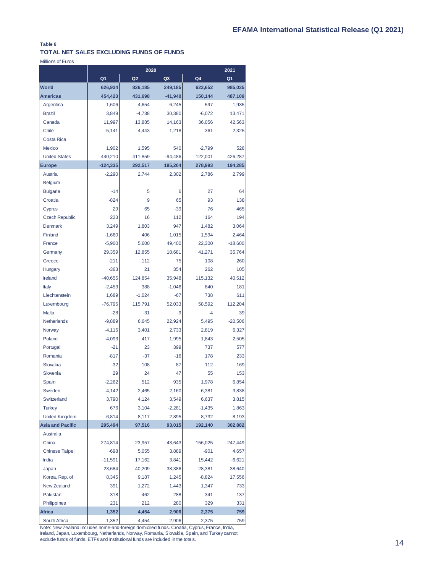#### **TOTAL NET SALES EXCLUDING FUNDS OF FUNDS**

Millions of Euros

|                         |            | 2021           |                |          |                |
|-------------------------|------------|----------------|----------------|----------|----------------|
|                         | Q1         | Q <sub>2</sub> | Q <sub>3</sub> | Q4       | Q <sub>1</sub> |
| <b>World</b>            | 626,934    | 826,185        | 249,185        | 623,652  | 985,035        |
| <b>Americas</b>         | 454,423    | 431,698        | $-41,940$      | 150,144  | 487,109        |
| Argentina               | 1,606      | 4,654          | 6,245          | 597      | 1,935          |
| <b>Brazil</b>           | 3,849      | $-4,738$       | 30,380         | $-6,072$ | 13,471         |
| Canada                  | 11,997     | 13,885         | 14,163         | 36,056   | 42,563         |
| Chile                   | $-5,141$   | 4,443          | 1,218          | 361      | 2,325          |
| Costa Rica              |            |                |                |          |                |
| Mexico                  | 1,902      | 1,595          | 540            | $-2,799$ | 528            |
| <b>United States</b>    | 440,210    | 411,859        | $-94,486$      | 122,001  | 426,287        |
| <b>Europe</b>           | $-124,335$ | 292,517        | 195,204        | 278,993  | 194,285        |
| Austria                 | $-2,290$   | 2,744          | 2,302          | 2,786    | 2,799          |
| <b>Belgium</b>          |            |                |                |          |                |
| <b>Bulgaria</b>         | $-14$      | 5              | 6              | 27       | 64             |
| Croatia                 | $-824$     | 9              | 65             | 93       | 138            |
| Cyprus                  | 29         | 65             | $-39$          | 76       | 465            |
| <b>Czech Republic</b>   | 223        | 16             | 112            | 164      | 194            |
| <b>Denmark</b>          | 3,249      | 1,803          | 947            | 1,482    | 3,064          |
| Finland                 | $-1,660$   | 406            | 1,015          | 1,594    | 2,464          |
| France                  | $-5,900$   | 5,600          | 49,400         | 22,300   | $-18,600$      |
| Germany                 | 29,359     | 12,855         | 18,681         | 41,271   | 35,764         |
| Greece                  | $-211$     | 112            | 75             | 108      | 260            |
| Hungary                 | $-363$     | 21             | 354            | 262      | 105            |
| Ireland                 | $-40,655$  | 124,854        | 35,948         | 115,132  | 40,512         |
| Italy                   | $-2,453$   | 388            | $-1,046$       | 840      | 181            |
| Liechtenstein           | 1,689      | $-1,024$       | $-67$          | 738      | 611            |
| Luxembourg              | $-76,795$  | 115,791        | 52,033         | 58,592   | 112,204        |
| <b>Malta</b>            | $-28$      | $-31$          | -9             | $-4$     | 39             |
| Netherlands             | $-9,889$   | 6,645          | 22,924         | 5,495    | $-20,506$      |
| Norway                  | $-4,116$   | 3,401          | 2,733          | 2,819    | 6,327          |
| Poland                  | $-4,093$   | 417            | 1,995          | 1,843    | 2,505          |
| Portugal                | $-21$      | 23             | 399            | 737      | 577            |
| Romania                 | $-817$     | $-37$          | $-16$          | 178      | 233            |
| Slovakia                | $-32$      | 108            | 87             | 112      | 169            |
| Slovenia                | 29         | 24             | 47             | 55       | 153            |
| Spain                   | $-2,262$   | 512            | 935            | 1,978    | 6,854          |
| Sweden                  | $-4,142$   | 2,465          | 2,160          | 6,381    | 3,838          |
| Switzerland             | 3,790      | 4,124          | 3,549          | 6,637    | 3,815          |
| <b>Turkey</b>           | 676        | 3,104          | $-2,281$       | $-1,435$ | 1,863          |
| <b>United Kingdom</b>   | $-6,814$   | 8,117          | 2,895          | 8,732    | 8,193          |
| <b>Asia and Pacific</b> | 295,494    | 97,516         | 93,015         | 192,140  | 302,882        |
| Australia               |            |                |                |          |                |
| China                   | 274,814    | 23,957         | 43,643         | 156,025  | 247,449        |
| Chinese Taipei          | $-698$     | 5,055          | 3,889          | $-901$   | 4,657          |
| India                   | $-11,591$  | 17,162         | 3,841          | 15,442   | $-6,621$       |
| Japan                   | 23,684     | 40,209         | 38,386         | 28,381   | 38,640         |
| Korea, Rep. of          | 8,345      | 9,187          | 1,245          | $-8,824$ | 17,556         |
| <b>New Zealand</b>      | 391        | 1,272          | 1,443          | 1,347    | 733            |
| Pakistan                | 318        | 462            | 288            | 341      | 137            |
| Philippines             | 231        | 212            | 280            | 329      | 331            |
| <b>Africa</b>           | 1,352      | 4,454          | 2,906          | 2,375    | 759            |
| South Africa            | 1,352      | 4,454          | 2,906          | 2,375    | 759            |

Note: New Zealand includes home-and-foreign domiciled funds. Croatia, Cyprus, France, India, Ireland, Japan, Luxembourg, Netherlands, Norway, Romania, Slovakia, Spain, and Turkey cannot exclude funds of funds. ETFs and Institutional funds are included in the totals.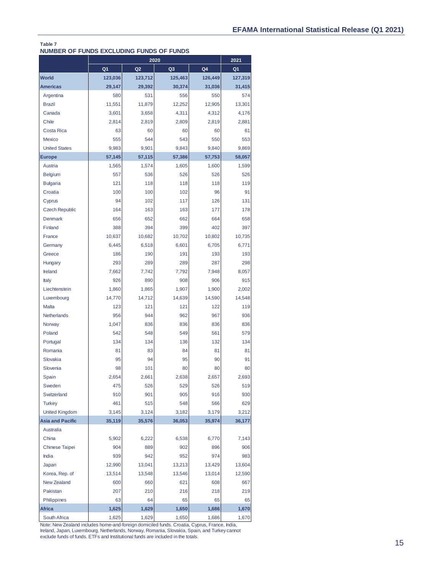#### **NUMBER OF FUNDS EXCLUDING FUNDS OF FUNDS Table 7**

|                         |                | 2021           |                |         |                |
|-------------------------|----------------|----------------|----------------|---------|----------------|
|                         | Q <sub>1</sub> | Q <sub>2</sub> | Q <sub>3</sub> | Q4      | Q <sub>1</sub> |
| <b>World</b>            | 123,036        | 123,712        | 125,463        | 126,449 | 127,319        |
| <b>Americas</b>         | 29,147         | 29,392         | 30,374         | 31,036  | 31,415         |
| Argentina               | 580            | 531            | 556            | 550     | 574            |
| <b>Brazil</b>           | 11.551         | 11,879         | 12,252         | 12,905  | 13,301         |
| Canada                  | 3,601          | 3,658          | 4,311          | 4,312   | 4,176          |
| Chile                   | 2,814          | 2,819          | 2,809          | 2,819   | 2,881          |
| Costa Rica              | 63             | 60             | 60             | 60      | 61             |
| Mexico                  | 555            | 544            | 543            | 550     | 553            |
| <b>United States</b>    | 9,983          | 9,901          | 9,843          | 9,840   | 9,869          |
| <b>Europe</b>           | 57,145         | 57,115         | 57,386         | 57,753  | 58,057         |
| Austria                 | 1,565          | 1,574          | 1,605          | 1,600   | 1,599          |
| <b>Belgium</b>          | 557            | 536            | 526            | 526     | 526            |
| <b>Bulgaria</b>         | 121            | 118            | 118            | 118     | 119            |
| Croatia                 | 100            | 100            | 102            | 96      | 91             |
| Cyprus                  | 94             | 102            | 117            | 126     | 131            |
| <b>Czech Republic</b>   | 164            | 163            | 163            | 177     | 178            |
| Denmark                 | 656            | 652            | 662            | 664     | 658            |
| Finland                 | 388            | 394            | 399            | 402     | 397            |
| France                  | 10,637         | 10,682         | 10,702         | 10,802  | 10,735         |
| Germany                 | 6,445          | 6,518          | 6,601          | 6,705   | 6,771          |
| Greece                  | 186            | 190            | 191            | 193     | 193            |
| Hungary                 | 293            | 289            | 289            | 287     | 298            |
| Ireland                 | 7,662          | 7,742          | 7,792          | 7,948   | 8,057          |
| Italy                   | 926            | 890            | 908            | 906     | 915            |
| Liechtenstein           | 1,860          | 1,865          | 1,907          | 1,900   | 2,002          |
| Luxembourg              | 14,770         | 14,712         | 14,639         | 14,590  | 14,548         |
| Malta                   | 123            | 121            | 121            | 122     | 119            |
| <b>Netherlands</b>      | 956            | 944            | 962            | 967     | 936            |
| Norway                  | 1,047          | 836            | 836            | 836     | 836            |
| Poland                  | 542            | 548            | 549            | 561     | 579            |
| Portugal                | 134            | 134            | 136            | 132     | 134            |
| Romania                 | 81             | 83             | 84             | 81      | 81             |
| Slovakia                | 95             | 94             | 95             | 90      | 91             |
| Slovenia                | 98             | 101            | 80             | 80      | 80             |
| Spain                   | 2,654          | 2,661          | 2,638          | 2,657   | 2,693          |
| Sweden                  | 475            | 526            | 529            | 526     | 519            |
| Switzerland             | 910            | 901            | 905            | 916     | 930            |
| <b>Turkey</b>           | 461            | 515            | 548            | 566     | 629            |
| <b>United Kingdom</b>   | 3,145          | 3,124          | 3,182          | 3,179   | 3,212          |
| <b>Asia and Pacific</b> | 35,119         | 35,576         | 36,053         | 35,974  | 36,177         |
| Australia               |                |                |                |         |                |
| China                   | 5,902          | 6,222          | 6,538          | 6,770   | 7,143          |
| Chinese Taipei          | 904            | 889            | 902            | 896     | 906            |
| India                   | 939            | 942            | 952            | 974     | 983            |
| Japan                   | 12,990         | 13,041         | 13,213         | 13,429  | 13,604         |
| Korea, Rep. of          | 13,514         | 13,548         | 13,546         | 13,014  | 12,590         |
| New Zealand             | 600            | 660            | 621            | 608     | 667            |
| Pakistan                | 207            | 210            | 216            | 218     | 219            |
| Philippines             | 63             | 64             | 65             | 65      | 65             |
| <b>Africa</b>           | 1,625          | 1,629          | 1,650          | 1,686   | 1,670          |
| South Africa            | 1,625          | 1,629          | 1,650          | 1,686   | 1,670          |

Note: New Zealand includes home-and-foreign domiciled funds. Croatia, Cyprus, France, India, Ireland, Japan, Luxembourg, Netherlands, Norway, Romania, Slovakia, Spain, and Turkey cannot exclude funds of funds. ETFs and Institutional funds are included in the totals.

 $\sim$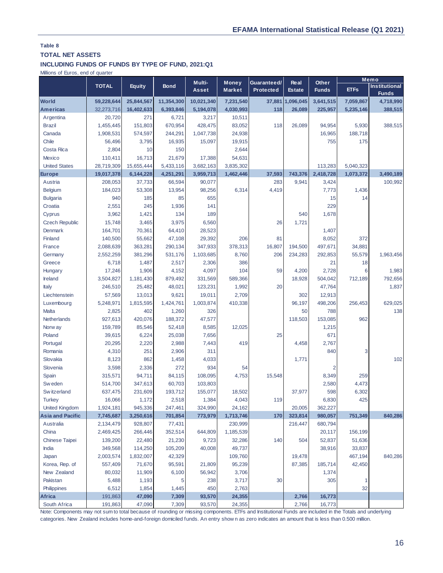# **TOTAL NET ASSETS**

## **INCLUDING FUNDS OF FUNDS BY TYPE OF FUND, 2021:Q1**

Millions of Euros, end of quarter

|                                                                                                                                                         |              |               |             | Multi-       | <b>Money</b>  | Guaranteed/ | <b>Real</b>      | Other          |             | Memo                                 |
|---------------------------------------------------------------------------------------------------------------------------------------------------------|--------------|---------------|-------------|--------------|---------------|-------------|------------------|----------------|-------------|--------------------------------------|
|                                                                                                                                                         | <b>TOTAL</b> | <b>Equity</b> | <b>Bond</b> | <b>Asset</b> | <b>Market</b> | Protected   | <b>Estate</b>    | <b>Funds</b>   | <b>ETFs</b> | <b>Institutional</b><br><b>Funds</b> |
| <b>World</b>                                                                                                                                            | 59,228,644   | 25,844,567    | 11,354,300  | 10,021,340   | 7,231,540     |             | 37,881 1,096,045 | 3,641,515      | 7,059,867   | 4,718,990                            |
| <b>Americas</b>                                                                                                                                         | 32,273,716   | 16,402,633    | 6,393,846   | 5,194,078    | 4,030,993     | 118         | 26,089           | 225,957        | 5,235,146   | 388,515                              |
| Argentina                                                                                                                                               | 20,720       | 271           | 6,721       | 3,217        | 10,511        |             |                  |                |             |                                      |
| <b>Brazil</b>                                                                                                                                           | 1,455,445    | 151,803       | 670,954     | 428,475      | 83,052        | 118         | 26,089           | 94,954         | 5,930       | 388,515                              |
| Canada                                                                                                                                                  | 1,908,531    | 574,597       | 244,291     | 1,047,738    | 24,938        |             |                  | 16,965         | 188,718     |                                      |
| Chile                                                                                                                                                   | 56,496       | 3,795         | 16,935      | 15,097       | 19,915        |             |                  | 755            | 175         |                                      |
| Costa Rica                                                                                                                                              | 2,804        | 10            | 150         |              | 2,644         |             |                  |                |             |                                      |
| Mexico                                                                                                                                                  | 110,411      | 16,713        | 21,679      | 17,388       | 54,631        |             |                  |                |             |                                      |
| <b>United States</b>                                                                                                                                    | 28,719,309   | 15,655,444    | 5,433,116   | 3,682,163    | 3,835,302     |             |                  | 113,283        | 5,040,323   |                                      |
| <b>Europe</b>                                                                                                                                           | 19,017,378   | 6,144,228     | 4,251,291   | 3,959,713    | 1,462,446     | 37,593      | 743.376          | 2,418,728      | 1,073,372   | 3,490,189                            |
| Austria                                                                                                                                                 | 208,053      | 37,733        | 66,594      | 90,077       |               | 283         | 9,941            | 3,424          |             | 100,992                              |
| <b>Belgium</b>                                                                                                                                          | 184,023      | 53,308        | 13,954      | 98,256       | 6,314         | 4,419       |                  | 7,773          | 1,436       |                                      |
| <b>Bulgaria</b>                                                                                                                                         | 940          | 185           | 85          | 655          |               |             |                  | 15             | 14          |                                      |
| Croatia                                                                                                                                                 | 2,551        | 245           | 1,936       | 141          |               |             |                  | 229            |             |                                      |
| Cyprus                                                                                                                                                  | 3,962        | 1,421         | 134         | 189          |               |             | 540              | 1,678          |             |                                      |
| <b>Czech Republic</b>                                                                                                                                   | 15,748       | 3,465         | 3,975       | 6,560        |               | 26          | 1,721            |                |             |                                      |
| Denmark                                                                                                                                                 | 164,701      | 70,361        | 64,410      | 28,523       |               |             |                  | 1,407          |             |                                      |
| Finland                                                                                                                                                 | 140,500      | 55,662        | 47,108      | 29,392       | 206           | 81          |                  | 8,052          | 372         |                                      |
| France                                                                                                                                                  | 2,088,639    | 363,281       | 290,134     | 347,933      | 378,313       | 16,807      | 194,500          | 497,671        | 34,881      |                                      |
| Germany                                                                                                                                                 | 2,552,259    | 381,296       | 531,176     | 1,103,685    | 8,760         | 206         | 234,283          | 292,853        | 55,579      | 1,963,456                            |
| Greece                                                                                                                                                  | 6,718        | 1,487         | 2,517       | 2,306        | 386           |             |                  | 21             | 18          |                                      |
| Hungary                                                                                                                                                 | 17,246       | 1,906         | 4,152       | 4,097        | 104           | 59          | 4,200            | 2,728          | 6           | 1,983                                |
| Ireland                                                                                                                                                 | 3,504,827    | 1,181,430     | 879,492     | 331,569      | 589,366       |             | 18,928           | 504,042        | 712,189     | 792,656                              |
| Italy                                                                                                                                                   | 246,510      | 25,482        | 48,021      | 123,231      | 1,992         | 20          |                  | 47,764         |             | 1,837                                |
| Liechtenstein                                                                                                                                           | 57,569       | 13,013        | 9,621       | 19,011       | 2,709         |             | 302              | 12,913         |             |                                      |
| Luxembourg                                                                                                                                              | 5,248,971    | 1,815,595     | 1,424,761   | 1,003,874    | 410,338       |             | 96,197           | 498,206        | 256,453     | 629,025                              |
| Malta                                                                                                                                                   | 2,825        | 402           | 1,260       | 326          |               |             | 50               | 788            |             | 138                                  |
| Netherlands                                                                                                                                             | 927,613      | 420,076       | 188,372     | 47,577       |               |             | 118,503          | 153,085        | 962         |                                      |
| Norw ay                                                                                                                                                 | 159,789      | 85,546        | 52,418      | 8,585        | 12,025        |             |                  | 1,215          |             |                                      |
| Poland                                                                                                                                                  | 39,615       | 6,224         | 25,038      | 7,656        |               | 25          |                  | 671            |             |                                      |
| Portugal                                                                                                                                                | 20,295       | 2,220         | 2,988       | 7,443        | 419           |             | 4,458            | 2,767          |             |                                      |
| Romania                                                                                                                                                 | 4,310        | 251           | 2,906       | 311          |               |             |                  | 840            | 3           |                                      |
| Slovakia                                                                                                                                                | 8,123        | 862           | 1,458       | 4,033        |               |             | 1,771            |                |             | 102                                  |
| Slovenia                                                                                                                                                | 3,598        | 2,336         | 272         | 934          | 54            |             |                  | $\overline{2}$ |             |                                      |
| Spain                                                                                                                                                   | 315,571      | 94,711        | 84,115      | 108,095      | 4,753         | 15,548      |                  | 8,349          | 259         |                                      |
| Sw eden                                                                                                                                                 | 514,700      | 347,613       | 60,703      | 103,803      |               |             |                  | 2,580          | 4,473       |                                      |
| Sw itzerland                                                                                                                                            | 637,475      | 231,609       | 193,712     | 155,077      | 18,502        |             | 37,977           | 598            | 6,302       |                                      |
| <b>Turkey</b>                                                                                                                                           | 16,066       | 1,172         | 2,518       | 1,384        | 4,043         | 119         |                  | 6,830          | 425         |                                      |
| <b>United Kingdom</b>                                                                                                                                   | 1,924,181    | 945,336       | 247,461     | 324,990      | 24,162        |             | 20,005           | 362,227        |             |                                      |
| <b>Asia and Pacific</b>                                                                                                                                 | 7,745,687    | 3,250,616     | 701,854     | 773,979      | 1,713,746     | 170         | 323,814          | 980,057        | 751,349     | 840,286                              |
| Australia                                                                                                                                               | 2,134,479    | 928,807       | 77,431      |              | 230,999       |             | 216,447          | 680,794        |             |                                      |
| China                                                                                                                                                   | 2,469,425    | 266,446       | 352,514     | 644,809      | 1,185,539     |             |                  | 20,117         | 156,199     |                                      |
| <b>Chinese Taipei</b>                                                                                                                                   | 139,200      | 22,480        | 21,230      | 9,723        | 32,286        | 140         | 504              | 52,837         | 51,636      |                                      |
| India                                                                                                                                                   | 349,568      | 114,250       | 105,209     | 40,008       | 49,737        |             |                  | 38,916         | 33,837      |                                      |
| Japan                                                                                                                                                   | 2,003,574    | 1,832,007     | 42,329      |              | 109,760       |             | 19,478           |                | 467,194     | 840,286                              |
| Korea, Rep. of                                                                                                                                          | 557,409      | 71,670        | 95,591      | 21,809       | 95,239        |             | 87,385           | 185,714        | 42,450      |                                      |
| New Zealand                                                                                                                                             | 80,032       | 11,909        | 6,100       | 56,942       | 3,706         |             |                  | 1,374          |             |                                      |
| Pakistan                                                                                                                                                | 5,488        | 1,193         | 5           | 238          | 3,717         | 30          |                  | 305            |             |                                      |
| Philippines                                                                                                                                             | 6,512        | 1,854         | 1,445       | 450          | 2,763         |             |                  |                | 32          |                                      |
| Africa                                                                                                                                                  | 191,863      | 47,090        | 7,309       | 93,570       | 24,355        |             | 2,766            | 16,773         |             |                                      |
| South Africa                                                                                                                                            | 191,863      | 47,090        | 7,309       | 93,570       | 24,355        |             | 2,766            | 16,773         |             |                                      |
| Note: Components may not sum to total because of rounding or missing components. ETFs and Institutional Funds are included in the Totals and underlying |              |               |             |              |               |             |                  |                |             |                                      |
| categories. New Zealand includes home-and-foreign domiciled funds. An entry show n as zero indicates an amount that is less than 0.500 million.         |              |               |             |              |               |             |                  |                |             |                                      |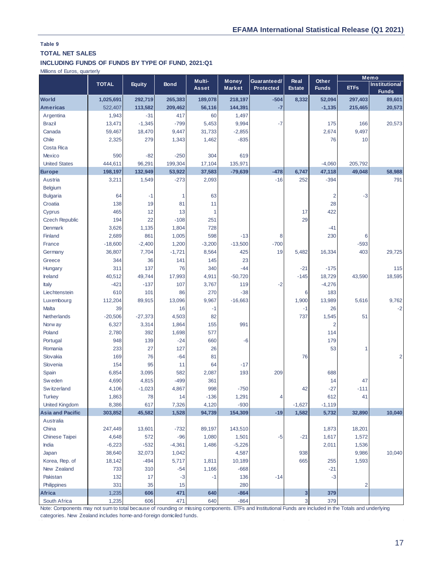# **TOTAL NET SALES**

#### **INCLUDING FUNDS OF FUNDS BY TYPE OF FUND, 2021:Q1**

Millions of Euros, quarterly

|                                                                                                                                                         |              |               | <b>Bond</b> |              | Multi-<br>Money | Guaranteed/ | Other<br>Real |                |              | Memo                                 |
|---------------------------------------------------------------------------------------------------------------------------------------------------------|--------------|---------------|-------------|--------------|-----------------|-------------|---------------|----------------|--------------|--------------------------------------|
|                                                                                                                                                         | <b>TOTAL</b> | <b>Equity</b> |             | <b>Asset</b> | <b>Market</b>   | Protected   | <b>Estate</b> | <b>Funds</b>   | <b>ETFs</b>  | <b>Institutional</b><br><b>Funds</b> |
| <b>World</b>                                                                                                                                            | 1,025,691    | 292,719       | 265,383     | 189,078      | 218,197         | $-504$      | 8,332         | 52,094         | 297,403      | 89,601                               |
| <b>Americas</b>                                                                                                                                         | 522,407      | 113,582       | 209,462     | 56,116       | 144,391         | $-7$        |               | $-1,135$       | 215,465      | 20,573                               |
| Argentina                                                                                                                                               | 1,943        | $-31$         | 417         | 60           | 1,497           |             |               |                |              |                                      |
| <b>Brazil</b>                                                                                                                                           | 13,471       | $-1,345$      | $-799$      | 5,453        | 9,994           | $-7$        |               | 175            | 166          | 20,573                               |
| Canada                                                                                                                                                  | 59,467       | 18,470        | 9,447       | 31,733       | $-2,855$        |             |               | 2,674          | 9,497        |                                      |
| Chile                                                                                                                                                   | 2,325        | 279           | 1,343       | 1,462        | $-835$          |             |               | 76             | 10           |                                      |
| Costa Rica                                                                                                                                              |              |               |             |              |                 |             |               |                |              |                                      |
| Mexico                                                                                                                                                  | 590          | $-82$         | $-250$      | 304          | 619             |             |               |                |              |                                      |
| <b>United States</b>                                                                                                                                    | 444,611      | 96,291        | 199,304     | 17,104       | 135,971         |             |               | $-4,060$       | 205,792      |                                      |
| <b>Europe</b>                                                                                                                                           | 198,197      | 132,949       | 53,922      | 37,583       | $-79,639$       | $-478$      | 6,747         | 47,118         | 49,048       | 58,988                               |
| Austria                                                                                                                                                 | 3,211        | 1,549         | $-273$      | 2,093        |                 | $-16$       | 252           | $-394$         |              | 791                                  |
| <b>Belgium</b>                                                                                                                                          |              |               |             |              |                 |             |               |                |              |                                      |
| <b>Bulgaria</b>                                                                                                                                         | 64           | $-1$          | 1           | 63           |                 |             |               | 2              | $-3$         |                                      |
| Croatia                                                                                                                                                 | 138          | 19            | 81          | 11           |                 |             |               | 28             |              |                                      |
| Cyprus                                                                                                                                                  | 465          | 12            | 13          |              |                 |             | 17            | 422            |              |                                      |
| <b>Czech Republic</b>                                                                                                                                   | 194          | 22            | $-108$      | 251          |                 |             | 29            |                |              |                                      |
| <b>Denmark</b>                                                                                                                                          | 3,626        | 1,135         | 1,804       | 728          |                 |             |               | $-41$          |              |                                      |
| Finland                                                                                                                                                 | 2,689        | 861           | 1,005       | 598          | $-13$           | 8           |               | 230            | 6            |                                      |
| France                                                                                                                                                  | $-18,600$    | $-2,400$      | 1,200       | $-3,200$     | $-13,500$       | $-700$      |               |                | $-593$       |                                      |
| Germany                                                                                                                                                 | 36,807       | 7,704         | $-1,721$    | 8,564        | 425             | 19          | 5,482         | 16,334         | 403          | 29,725                               |
| Greece                                                                                                                                                  | 344          | 36            | 141         | 145          | 23              |             |               |                |              |                                      |
| Hungary                                                                                                                                                 | 311          | 137           | 76          | 340          | $-44$           |             | $-21$         | $-175$         |              | 115                                  |
| Ireland                                                                                                                                                 | 40,512       | 49,744        | 17,993      | 4,911        | $-50,720$       |             | $-145$        | 18,729         | 43,590       | 18,595                               |
| Italy                                                                                                                                                   | $-421$       | $-137$        | 107         | 3,767        | 119             | $-2$        |               | $-4,276$       |              |                                      |
| Liechtenstein                                                                                                                                           | 610          | 101           | 86          | 270          | $-38$           |             | 6             | 183            |              |                                      |
| Luxembourg                                                                                                                                              | 112,204      | 89,915        | 13,096      | 9,967        | $-16,663$       |             | 1,900         | 13,989         | 5,616        | 9,762                                |
| Malta                                                                                                                                                   | 39           |               | 16          | $-1$         |                 |             | $-1$          | 26             |              | $-2$                                 |
| Netherlands                                                                                                                                             | $-20,506$    | $-27,373$     | 4,503       | 82           |                 |             | 737           | 1,545          | 51           |                                      |
| Norw ay                                                                                                                                                 | 6,327        | 3,314         | 1,864       | 155          | 991             |             |               | $\overline{2}$ |              |                                      |
| Poland                                                                                                                                                  | 2,780        | 392           | 1,698       | 577          |                 |             |               | 114            |              |                                      |
| Portugal                                                                                                                                                | 948          | 139           | $-24$       | 660          | $-6$            |             |               | 179            |              |                                      |
| Romania                                                                                                                                                 | 233          | 27            | 127         | 26           |                 |             |               | 53             | $\mathbf{1}$ |                                      |
| Slovakia                                                                                                                                                | 169          | 76            | $-64$       | 81           |                 |             | 76            |                |              | 2                                    |
| Slovenia                                                                                                                                                | 154          | 95            | 11          | 64           | $-17$           |             |               |                |              |                                      |
| Spain                                                                                                                                                   | 6,854        | 3,095         | 582         | 2,087        | 193             | 209         |               | 688            |              |                                      |
| Sw eden                                                                                                                                                 | 4,690        | 4,815         | $-499$      | 361          |                 |             |               | 14             | 47           |                                      |
| Sw itzerland                                                                                                                                            | 4,106        | $-1,023$      | 4,867       | 998          | $-750$          |             | 42            | $-27$          | $-111$       |                                      |
| <b>Turkey</b>                                                                                                                                           | 1,863        | 78            | 14          | $-136$       | 1,291           | 4           |               | 612            | 41           |                                      |
| <b>United Kingdom</b>                                                                                                                                   | 8,386        | 617           | 7,326       | 4,120        | $-930$          |             | $-1,627$      | $-1,119$       |              |                                      |
| <b>Asia and Pacific</b>                                                                                                                                 | 303,852      | 45.582        | 1,528       | 94,739       | 154,309         | $-19$       | 1,582         | 5,732          | 32,890       | 10.040                               |
| Australia                                                                                                                                               |              |               |             |              |                 |             |               |                |              |                                      |
| China                                                                                                                                                   | 247,449      | 13,601        | $-732$      | 89,197       | 143,510         |             |               | 1,873          | 18,201       |                                      |
| <b>Chinese Taipei</b>                                                                                                                                   | 4,648        | 572           | $-96$       | 1,080        | 1,501           | $-5$        | $-21$         | 1,617          | 1,572        |                                      |
| India                                                                                                                                                   | $-6,223$     | $-532$        | $-4,361$    | 1,486        | $-5,226$        |             |               | 2,011          | 1,536        |                                      |
| Japan                                                                                                                                                   | 38,640       | 32,073        | 1,042       |              | 4,587           |             | 938           |                | 9,986        | 10,040                               |
| Korea, Rep. of                                                                                                                                          | 18,142       | $-494$        | 5,717       | 1,811        | 10,189          |             | 665           | 255            | 1,593        |                                      |
| New Zealand                                                                                                                                             | 733          | 310           | $-54$       | 1,166        | $-668$          |             |               | $-21$          |              |                                      |
| Pakistan                                                                                                                                                | 132          | 17            | $-3$        | $-1$         | 136             | $-14$       |               | $-3$           |              |                                      |
| Philippines                                                                                                                                             | 331          | 35            | 15          |              | 280             |             |               |                | 2            |                                      |
| <b>Africa</b>                                                                                                                                           | 1,235        | 606           | 471         | 640          | $-864$          |             | 3             | 379            |              |                                      |
| South Africa                                                                                                                                            | 1,235        | 606           | 471         | 640          | $-864$          |             | 3             | 379            |              |                                      |
| Note: Components may not sum to total because of rounding or missing components. ETFs and Institutional Funds are included in the Totals and underlying |              |               |             |              |                 |             |               |                |              |                                      |
| categories. New Zealand includes home-and-foreign domiciled funds.                                                                                      |              |               |             |              |                 |             |               |                |              |                                      |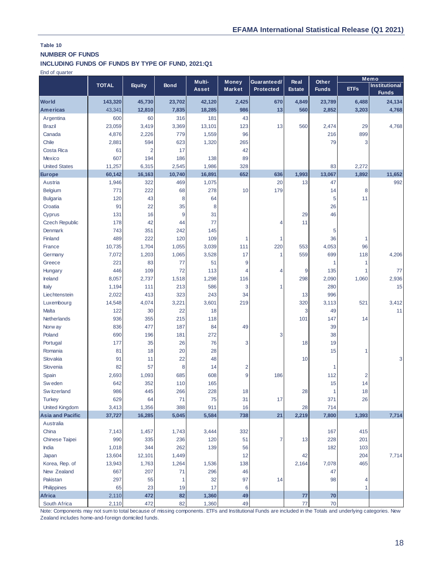## **NUMBER OF FUNDS**

## **INCLUDING FUNDS OF FUNDS BY TYPE OF FUND, 2021:Q1**

End of quarter

|                         |              |               |             | Multi-<br>Guaranteed/<br>Other<br><b>Money</b> |                         |                  | Real          |              | Memo                    |                                      |
|-------------------------|--------------|---------------|-------------|------------------------------------------------|-------------------------|------------------|---------------|--------------|-------------------------|--------------------------------------|
|                         | <b>TOTAL</b> | <b>Equity</b> | <b>Bond</b> | <b>Asset</b>                                   | <b>Market</b>           | <b>Protected</b> | <b>Estate</b> | <b>Funds</b> | <b>ETFs</b>             | <b>Institutional</b><br><b>Funds</b> |
| <b>World</b>            | 143,320      | 45,730        | 23,702      | 42,120                                         | 2,425                   | 670              | 4,849         | 23,789       | 6,488                   | 24,134                               |
| <b>Americas</b>         | 43,341       | 12,810        | 7,835       | 18,285                                         | 986                     | 13               | 560           | 2,852        | 3,203                   | 4,768                                |
| Argentina               | 600          | 60            | 316         | 181                                            | 43                      |                  |               |              |                         |                                      |
| <b>Brazil</b>           | 23,059       | 3,419         | 3,369       | 13,101                                         | 123                     | 13               | 560           | 2,474        | 29                      | 4,768                                |
| Canada                  | 4,876        | 2,226         | 779         | 1,559                                          | 96                      |                  |               | 216          | 899                     |                                      |
| Chile                   | 2,881        | 594           | 623         | 1,320                                          | 265                     |                  |               | 79           | 3                       |                                      |
| Costa Rica              | 61           | 2             | 17          |                                                | 42                      |                  |               |              |                         |                                      |
| <b>Mexico</b>           | 607          | 194           | 186         | 138                                            | 89                      |                  |               |              |                         |                                      |
| <b>United States</b>    | 11,257       | 6,315         | 2,545       | 1,986                                          | 328                     |                  |               | 83           | 2,272                   |                                      |
| Europe                  | 60,142       | 16,163        | 10,740      | 16,891                                         | 652                     | 636              | 1,993         | 13,067       | 1,892                   | 11,652                               |
| Austria                 | 1,946        | 322           | 469         | 1,075                                          |                         | 20               | 13            | 47           |                         | 992                                  |
| Belgium                 | 771          | 222           | 68          | 278                                            | 10                      | 179              |               | 14           | 8                       |                                      |
| <b>Bulgaria</b>         | 120          | 43            | 8           | 64                                             |                         |                  |               | 5            | 11                      |                                      |
| Croatia                 | 91           | 22            | 35          | 8                                              |                         |                  |               | 26           |                         |                                      |
| Cyprus                  | 131          | 16            | 9           | 31                                             |                         |                  | 29            | 46           |                         |                                      |
| <b>Czech Republic</b>   | 178          | 42            | 44          | 77                                             |                         | 4                | 11            |              |                         |                                      |
| <b>Denmark</b>          | 743          | 351           | 242         | 145                                            |                         |                  |               | 5            |                         |                                      |
| Finland                 | 489          | 222           | 120         | 109                                            | 1                       | 1                |               | 36           | $\mathbf{1}$            |                                      |
| France                  | 10,735       | 1,704         | 1,055       | 3,039                                          | 111                     | 220              | 553           | 4,053        | 96                      |                                      |
| Germany                 | 7,072        | 1,203         | 1,065       | 3,528                                          | 17                      | $\mathbf{1}$     | 559           | 699          | 118                     | 4,206                                |
| Greece                  | 221          | 83            | 77          | 51                                             | 9                       |                  |               | 1            | $\mathbf{1}$            |                                      |
| Hungary                 | 446          | 109           | 72          | 113                                            | 4                       | 4                | 9             | 135          | 1                       | 77                                   |
| Ireland                 | 8,057        | 2,737         | 1,518       | 1,298                                          | 116                     |                  | 298           | 2,090        | 1,060                   | 2,936                                |
| Italy                   | 1,194        | 111           | 213         | 586                                            | 3                       | 1                |               | 280          |                         | 15                                   |
| Liechtenstein           | 2,022        | 413           | 323         | 243                                            | 34                      |                  | 13            | 996          |                         |                                      |
| Luxembourg              | 14,548       | 4,074         | 3,221       | 3,601                                          | 219                     |                  | 320           | 3,113        | 521                     | 3,412                                |
| Malta                   | 122          | 30            | 22          | 18                                             |                         |                  | 3             | 49           |                         | 11                                   |
| Netherlands             | 936          | 355           | 215         | 118                                            |                         |                  | 101           | 147          | 14                      |                                      |
| Norw ay                 | 836          | 477           | 187         | 84                                             | 49                      |                  |               | 39           |                         |                                      |
| Poland                  | 690          | 196           | 181         | 272                                            |                         | 3                |               | 38           |                         |                                      |
| Portugal                | 177          | 35            | 26          | 76                                             | 3                       |                  | 18            | 19           |                         |                                      |
| Romania                 | 81           | 18            | 20          | 28                                             |                         |                  |               | 15           | 1                       |                                      |
| Slovakia                | 91           | 11            | 22          | 48                                             |                         |                  | 10            |              |                         | 3                                    |
| Slovenia                | 82           | 57            | 8           | 14                                             | $\overline{\mathbf{c}}$ |                  |               | 1            |                         |                                      |
| Spain                   | 2,693        | 1,093         | 685         | 608                                            | 9                       | 186              |               | 112          | $\overline{\mathbf{c}}$ |                                      |
| Sw eden                 | 642          | 352           | 110         | 165                                            |                         |                  |               | 15           | 14                      |                                      |
| Sw itzerland            | 986          | 445           | 266         | 228                                            | 18                      |                  | 28            | 1            | 18                      |                                      |
| <b>Turkey</b>           | 629          | 64            | 71          | 75                                             | 31                      | 17               |               | 371          | 26                      |                                      |
| <b>United Kingdom</b>   | 3,413        | 1,356         | 388         | 911                                            | 16                      |                  | 28            | 714          |                         |                                      |
| <b>Asia and Pacific</b> | 37,727       | 16,285        | 5,045       | 5,584                                          | 738                     | 21               | 2,219         | 7,800        | 1,393                   | 7,714                                |
| Australia               |              |               |             |                                                |                         |                  |               |              |                         |                                      |
| China                   | 7,143        | 1,457         | 1,743       | 3,444                                          | 332                     |                  |               | 167          | 415                     |                                      |
| <b>Chinese Taipei</b>   | 990          | 335           | 236         | 120                                            | 51                      | $\overline{7}$   | 13            | 228          | 201                     |                                      |
| India                   | 1,018        | 344           | 262         | 139                                            | 56                      |                  |               | 182          | 103                     |                                      |
| Japan                   | 13,604       | 12,101        | 1,449       |                                                | 12                      |                  | 42            |              | 204                     | 7,714                                |
| Korea, Rep. of          | 13,943       | 1,763         | 1,264       | 1,536                                          | 138                     |                  | 2,164         | 7,078        | 465                     |                                      |
| New Zealand             | 667          | 207           | 71          | 296                                            | 46                      |                  |               | 47           |                         |                                      |
| Pakistan                | 297          | 55            | 1           | 32                                             | 97                      | 14               |               | 98           | 4                       |                                      |
| Philippines             | 65           | 23            | 19          | 17                                             | 6                       |                  |               |              | $\mathbf{1}$            |                                      |
| Africa                  | 2,110        | 472           | 82          | 1,360                                          | 49                      |                  | 77            | 70           |                         |                                      |
| South Africa            | 2,110        | 472           | 82          | 1,360                                          | 49                      |                  | 77            | 70           |                         |                                      |

Note: Components may not sum to total because of missing components. ETFs and Institutional Funds are included in the Totals and underlying categories. New Zealand includes home-and-foreign domiciled funds.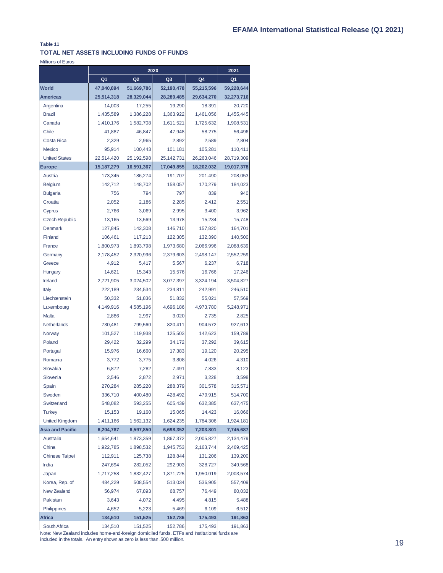## **TOTAL NET ASSETS INCLUDING FUNDS OF FUNDS**

Millions of Euros

|                         |                | 2020           |                | 2021       |                |
|-------------------------|----------------|----------------|----------------|------------|----------------|
|                         | Q <sub>1</sub> | Q <sub>2</sub> | Q <sub>3</sub> | Q4         | Q <sub>1</sub> |
| <b>World</b>            | 47.040.894     | 51,669,786     | 52,190,478     | 55,215,596 | 59,228,644     |
| <b>Americas</b>         | 25,514,318     | 28,329,044     | 28,289,485     | 29,634,270 | 32,273,716     |
| Argentina               | 14,003         | 17,255         | 19,290         | 18,391     | 20,720         |
| <b>Brazil</b>           | 1,435,589      | 1,386,228      | 1.363.922      | 1,461,056  | 1,455,445      |
| Canada                  | 1,410,176      | 1,582,708      | 1,611,521      | 1,725,632  | 1,908,531      |
| Chile                   | 41,887         | 46,847         | 47,948         | 58,275     | 56,496         |
| <b>Costa Rica</b>       | 2,329          | 2,965          | 2,892          | 2,589      | 2,804          |
| Mexico                  | 95,914         | 100,443        | 101,181        | 105,281    | 110,411        |
| <b>United States</b>    | 22,514,420     | 25,192,598     | 25,142,731     | 26,263,046 | 28,719,309     |
| <b>Europe</b>           | 15,187,279     | 16,591,367     | 17,049,855     | 18,202,032 | 19,017,378     |
| Austria                 | 173,345        | 186,274        | 191,707        | 201,490    | 208,053        |
| <b>Belgium</b>          | 142,712        | 148,702        | 158,057        | 170,279    | 184,023        |
| <b>Bulgaria</b>         | 756            | 794            | 797            | 839        | 940            |
| Croatia                 | 2,052          | 2,186          | 2,285          | 2,412      | 2,551          |
| Cyprus                  | 2,766          | 3,069          | 2,995          | 3,400      | 3,962          |
| <b>Czech Republic</b>   | 13,165         | 13,569         | 13,978         | 15,234     | 15,748         |
| <b>Denmark</b>          | 127,845        | 142,308        | 146,710        | 157,820    | 164,701        |
| Finland                 | 106,461        | 117,213        | 122,305        | 132,390    | 140,500        |
| France                  | 1,800,973      | 1,893,798      | 1,973,680      | 2,066,996  | 2,088,639      |
| Germany                 | 2,178,452      | 2,320,996      | 2,379,603      | 2,498,147  | 2,552,259      |
| Greece                  | 4,912          | 5,417          | 5,567          | 6,237      | 6,718          |
| Hungary                 | 14,621         | 15,343         | 15,576         | 16,766     | 17,246         |
| Ireland                 | 2,721,905      | 3,024,502      | 3,077,397      | 3,324,194  | 3,504,827      |
| Italy                   | 222,189        | 234,534        | 234,811        | 242,991    | 246,510        |
| Liechtenstein           | 50,332         | 51,836         | 51,832         | 55,021     | 57,569         |
| Luxembourg              | 4,149,916      | 4,585,196      | 4,696,186      | 4,973,780  | 5,248,971      |
| Malta                   | 2,886          | 2,997          | 3,020          | 2,735      | 2,825          |
| Netherlands             | 730,481        | 799,560        | 820,411        | 904,572    | 927,613        |
| Norway                  | 101,527        | 119,938        | 125,503        | 142,623    | 159,789        |
| Poland                  | 29,422         | 32,299         | 34,172         | 37,292     | 39,615         |
| Portugal                | 15,976         | 16,660         | 17,383         | 19,120     | 20,295         |
| Romania                 | 3,772          | 3,775          | 3,808          | 4,026      | 4,310          |
| Slovakia                | 6,872          | 7,282          | 7,491          | 7,833      | 8,123          |
| Slovenia                | 2,546          | 2,872          | 2,971          | 3,228      | 3,598          |
| Spain                   | 270,284        | 285,220        | 288,379        | 301,578    | 315,571        |
| Sweden                  | 336,710        | 400,480        | 428,492        | 479,915    | 514,700        |
| Switzerland             | 548,082        | 593,255        | 605,439        | 632,385    | 637,475        |
| <b>Turkey</b>           | 15,153         | 19,160         | 15,065         | 14,423     | 16,066         |
| <b>United Kingdom</b>   | 1,411,166      | 1,562,132      | 1,624,235      | 1,784,306  | 1,924,181      |
| <b>Asia and Pacific</b> | 6,204,787      | 6,597,850      | 6,698,352      | 7,203,801  | 7,745,687      |
| Australia               | 1,654,641      | 1,873,359      | 1,867,372      | 2,005,827  | 2,134,479      |
| China                   | 1,922,785      | 1,898,532      | 1,945,753      | 2,163,744  | 2,469,425      |
| <b>Chinese Taipei</b>   | 112,911        | 125,738        | 128,844        | 131,206    | 139,200        |
| India                   | 247,694        | 282,052        | 292,903        | 328,727    | 349,568        |
| Japan                   | 1,717,258      | 1,832,427      | 1,871,725      | 1,950,019  | 2,003,574      |
| Korea, Rep. of          | 484,229        | 508,554        | 513,034        | 536,905    | 557,409        |
| New Zealand             | 56,974         | 67,893         | 68,757         | 76,449     | 80,032         |
| Pakistan                | 3,643          | 4,072          | 4,495          | 4,815      | 5,488          |
| Philippines             | 4,652          | 5,223          | 5,469          | 6,109      | 6,512          |
| <b>Africa</b>           | 134,510        | 151,525        | 152,786        | 175,493    | 191,863        |
| South Africa            | 134,510        | 151,525        | 152,786        | 175,493    | 191,863        |

Note: New Zealand includes home-and-foreign domiciled funds. ETFs and Institutional funds are included in the totals. An entry shown as zero is less than .500 million.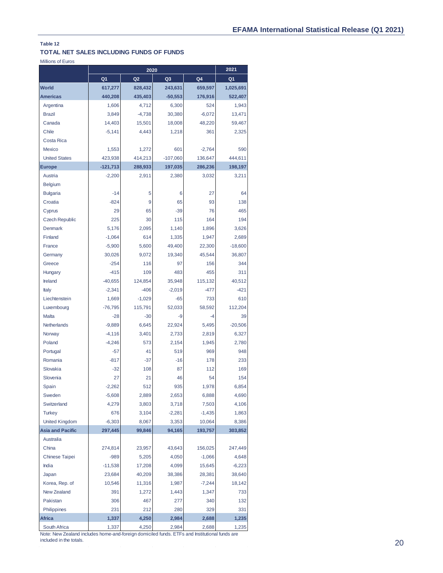### **TOTAL NET SALES INCLUDING FUNDS OF FUNDS**

Millions of Euros

|                         |            | 2021           |                |          |                |
|-------------------------|------------|----------------|----------------|----------|----------------|
|                         | Q1         | Q <sub>2</sub> | Q <sub>3</sub> | Q4       | Q <sub>1</sub> |
| <b>World</b>            | 617,277    | 828,432        | 243,631        | 659,597  | 1,025,691      |
| <b>Americas</b>         | 440,208    | 435,403        | $-50,553$      | 176,916  | 522,407        |
| Argentina               | 1,606      | 4,712          | 6,300          | 524      | 1,943          |
| <b>Brazil</b>           | 3,849      | $-4,738$       | 30,380         | $-6,072$ | 13,471         |
| Canada                  | 14,403     | 15,501         | 18,008         | 48,220   | 59,467         |
| Chile                   | $-5,141$   | 4,443          | 1,218          | 361      | 2,325          |
| Costa Rica              |            |                |                |          |                |
| <b>Mexico</b>           | 1,553      | 1,272          | 601            | $-2,764$ | 590            |
| <b>United States</b>    | 423,938    | 414,213        | $-107,060$     | 136,647  | 444,611        |
| <b>Europe</b>           | $-121,713$ | 288,933        | 197,035        | 286,236  | 198,197        |
| Austria                 | $-2,200$   | 2,911          | 2,380          | 3,032    | 3,211          |
| <b>Belgium</b>          |            |                |                |          |                |
| <b>Bulgaria</b>         | $-14$      | 5              | 6              | 27       | 64             |
| Croatia                 | $-824$     | 9              | 65             | 93       | 138            |
| Cyprus                  | 29         | 65             | $-39$          | 76       | 465            |
| <b>Czech Republic</b>   | 225        | 30             | 115            | 164      | 194            |
| <b>Denmark</b>          | 5,176      | 2,095          | 1,140          | 1,896    | 3,626          |
| Finland                 | $-1,064$   | 614            | 1,335          | 1,947    | 2,689          |
| France                  | $-5,900$   | 5,600          | 49,400         | 22,300   | $-18,600$      |
| Germany                 | 30,026     | 9,072          | 19,340         | 45,544   | 36,807         |
| Greece                  | $-254$     | 116            | 97             | 156      | 344            |
| Hungary                 | $-415$     | 109            | 483            | 455      | 311            |
| Ireland                 | $-40,655$  | 124,854        | 35,948         | 115,132  | 40,512         |
| Italy                   | $-2,341$   | $-406$         | $-2,019$       | $-477$   | $-421$         |
| Liechtenstein           | 1,669      | $-1,029$       | $-65$          | 733      | 610            |
| Luxembourg              | $-76,795$  | 115,791        | 52,033         | 58,592   | 112,204        |
| <b>Malta</b>            | $-28$      | $-30$          | $-9$           | $-4$     | 39             |
| Netherlands             | $-9,889$   | 6,645          | 22,924         | 5,495    | $-20,506$      |
| Norway                  | $-4,116$   | 3,401          | 2,733          | 2,819    | 6,327          |
| Poland                  | $-4,246$   | 573            | 2,154          | 1,945    | 2,780          |
| Portugal                | $-57$      | 41             | 519            | 969      | 948            |
| Romania                 | $-817$     | $-37$          | $-16$          | 178      | 233            |
| Slovakia                | $-32$      | 108            | 87             | 112      | 169            |
| Slovenia                | 27         | 21             | 46             | 54       | 154            |
| Spain                   | $-2,262$   | 512            | 935            | 1,978    | 6,854          |
| Sweden                  | $-5,608$   | 2,889          | 2,653          | 6,888    | 4,690          |
| Switzerland             | 4,279      | 3,803          | 3,718          | 7,503    | 4,106          |
| <b>Turkey</b>           | 676        | 3,104          | $-2,281$       | $-1,435$ | 1,863          |
| <b>United Kingdom</b>   | $-6,303$   | 8,067          | 3,353          | 10,064   | 8,386          |
| <b>Asia and Pacific</b> | 297,445    | 99,846         | 94,165         | 193,757  | 303,852        |
| Australia               |            |                |                |          |                |
| China                   | 274,814    | 23,957         | 43,643         | 156,025  | 247,449        |
| <b>Chinese Taipei</b>   | $-989$     | 5,205          | 4,050          | $-1,066$ | 4,648          |
| India                   | $-11,538$  | 17,208         | 4,099          | 15,645   | $-6,223$       |
| Japan                   | 23,684     | 40,209         | 38,386         | 28,381   | 38,640         |
| Korea, Rep. of          | 10,546     | 11,316         | 1,987          | $-7,244$ | 18,142         |
| New Zealand             | 391        | 1,272          | 1,443          | 1,347    | 733            |
| Pakistan                | 306        | 467            | 277            | 340      | 132            |
| Philippines             | 231        | 212            | 280            | 329      | 331            |
| <b>Africa</b>           | 1,337      | 4,250          | 2,984          | 2,688    | 1,235          |
| South Africa            | 1,337      | 4,250          | 2,984          | 2,688    | 1,235          |

Note: New Zealand includes home-and-foreign domiciled funds. ETFs and Institutional funds are included in the totals.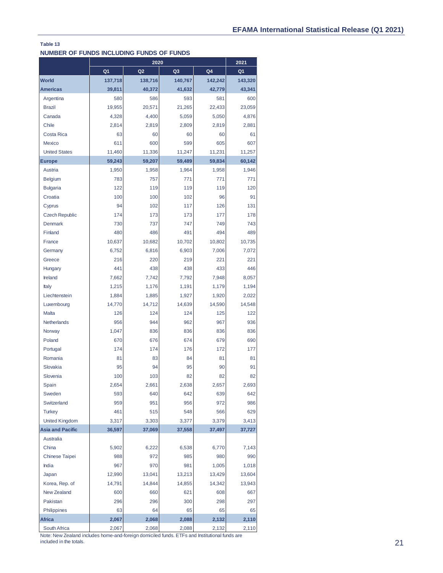### **NUMBER OF FUNDS INCLUDING FUNDS OF FUNDS**

|                                      | 2020           |                |                |         | 2021    |
|--------------------------------------|----------------|----------------|----------------|---------|---------|
|                                      | Q <sub>1</sub> | Q <sub>2</sub> | Q <sub>3</sub> | Q4      | Q1      |
| <b>World</b>                         | 137,718        | 138,716        | 140,767        | 142,242 | 143,320 |
| <b>Americas</b>                      | 39,811         | 40,372         | 41,632         | 42,779  | 43,341  |
| Argentina                            | 580            | 586            | 593            | 581     | 600     |
| <b>Brazil</b>                        | 19,955         | 20,571         | 21,265         | 22,433  | 23,059  |
| Canada                               | 4,328          | 4,400          | 5,059          | 5,050   | 4,876   |
| Chile                                | 2,814          | 2,819          | 2,809          | 2,819   | 2,881   |
| Costa Rica                           | 63             | 60             | 60             | 60      | 61      |
| <b>Mexico</b>                        | 611            | 600            | 599            | 605     | 607     |
| <b>United States</b>                 | 11,460         | 11,336         | 11,247         | 11,231  | 11,257  |
| <b>Europe</b>                        | 59,243         | 59,207         | 59,489         | 59,834  | 60,142  |
| Austria                              | 1,950          | 1,958          | 1,964          | 1,958   | 1,946   |
| <b>Belgium</b>                       | 783            | 757            | 771            | 771     | 771     |
| <b>Bulgaria</b>                      | 122            | 119            | 119            | 119     | 120     |
| Croatia                              | 100            | 100            | 102            | 96      | 91      |
| Cyprus                               | 94             | 102            | 117            | 126     | 131     |
| <b>Czech Republic</b>                | 174            | 173            | 173            | 177     | 178     |
| Denmark                              | 730            | 737            | 747            | 749     | 743     |
| Finland                              | 480            | 486            | 491            | 494     | 489     |
| France                               | 10,637         | 10,682         | 10,702         | 10,802  | 10,735  |
| Germany                              | 6,752          | 6,816          | 6,903          | 7,006   | 7,072   |
| Greece                               | 216            | 220            | 219            | 221     | 221     |
| Hungary                              | 441            | 438            | 438            | 433     | 446     |
| Ireland                              | 7,662          | 7,742          | 7,792          | 7,948   | 8,057   |
| Italy                                | 1,215          | 1,176          | 1,191          | 1,179   | 1,194   |
| Liechtenstein                        | 1,884          | 1,885          | 1,927          | 1,920   | 2,022   |
| Luxembourg                           | 14,770         | 14,712         | 14,639         | 14,590  | 14,548  |
| Malta                                | 126            | 124            | 124            | 125     | 122     |
| Netherlands                          | 956            | 944            | 962            | 967     | 936     |
| Norway                               | 1,047          | 836            | 836            | 836     | 836     |
| Poland                               | 670            | 676            | 674            | 679     | 690     |
| Portugal                             | 174            | 174            | 176            | 172     | 177     |
| Romania                              | 81             | 83             | 84             | 81      | 81      |
| Slovakia                             | 95             | 94             | 95             | 90      | 91      |
| Slovenia                             | 100            | 103            | 82             | 82      | 82      |
| Spain                                | 2,654          | 2,661          | 2,638          | 2,657   | 2,693   |
| Sweden                               | 593            | 640            | 642            | 639     | 642     |
| Switzerland                          | 959            | 951            | 956            | 972     | 986     |
| <b>Turkey</b>                        | 461            | 515            | 548            | 566     | 629     |
| <b>United Kingdom</b>                | 3,317          | 3,303          | 3,377          | 3,379   | 3,413   |
| <b>Asia and Pacific</b>              | 36,597         | 37,069         | 37,558         | 37,497  | 37,727  |
| Australia                            |                |                |                |         |         |
| China                                | 5,902          | 6,222          | 6,538          | 6,770   | 7,143   |
| Chinese Taipei                       | 988            | 972            | 985            | 980     | 990     |
| India                                | 967            | 970            | 981            | 1,005   | 1,018   |
| Japan                                | 12,990         | 13,041         | 13,213         | 13,429  | 13,604  |
|                                      |                |                |                |         |         |
| Korea, Rep. of<br><b>New Zealand</b> | 14,791         | 14,844         | 14,855         | 14,342  | 13,943  |
|                                      | 600            | 660            | 621            | 608     | 667     |
| Pakistan                             | 296            | 296            | 300            | 298     | 297     |
| Philippines                          | 63             | 64             | 65             | 65      | 65      |
| <b>Africa</b>                        | 2,067          | 2,068          | 2,088          | 2,132   | 2,110   |
| South Africa                         | 2,067          | 2,068          | 2,088          | 2,132   | 2,110   |

Note: New Zealand includes home-and-foreign domiciled funds. ETFs and Institutional funds are included in the totals.